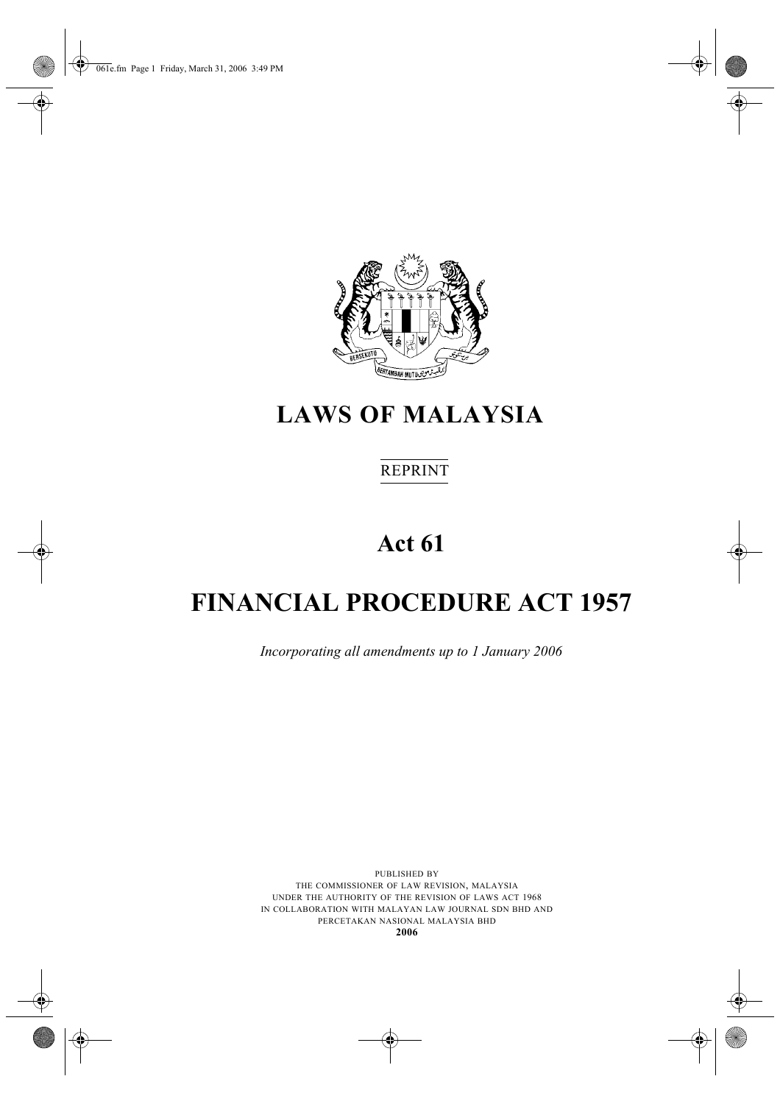061e.fm Page 1 Friday, March 31, 2006 3:49 PM



# **LAWS OF MALAYSIA**

# REPRINT

# **Act 61**

# **FINANCIAL PROCEDURE ACT 1957**

*Incorporating all amendments up to 1 January 2006*

PUBLISHED BY THE COMMISSIONER OF LAW REVISION, MALAYSIA UNDER THE AUTHORITY OF THE REVISION OF LAWS ACT 1968 IN COLLABORATION WITH MALAYAN LAW JOURNAL SDN BHD AND PERCETAKAN NASIONAL MALAYSIA BHD **2006**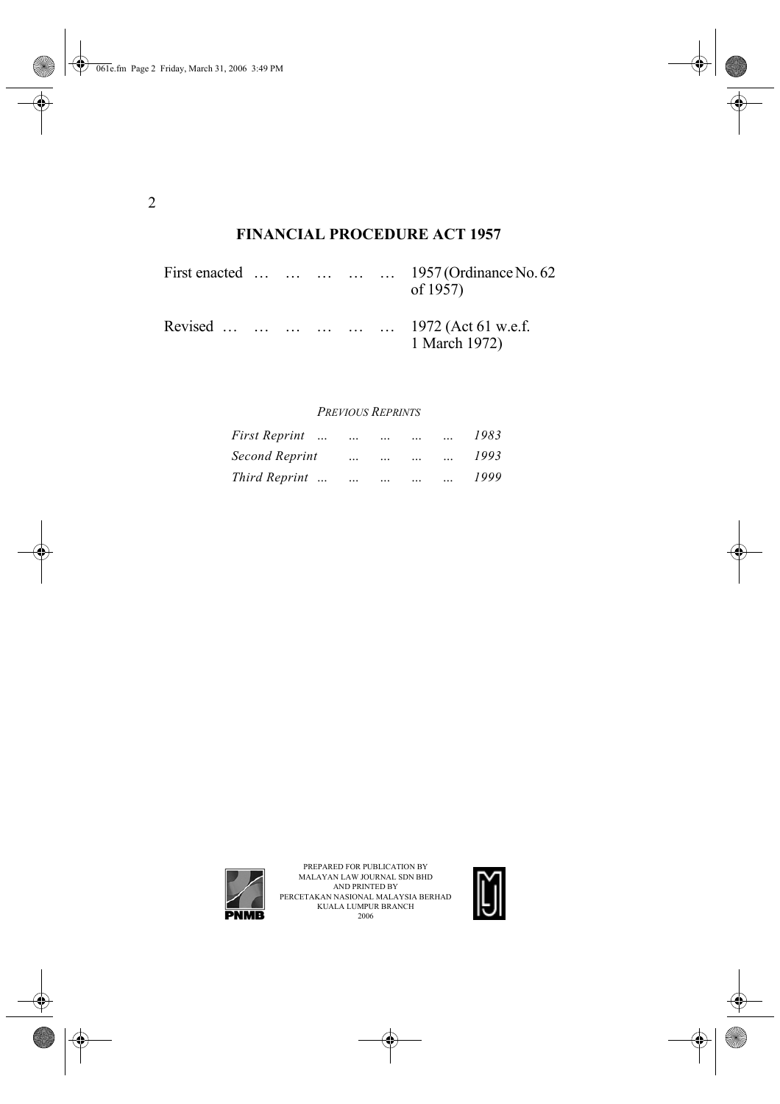# **FINANCIAL PROCEDURE ACT 1957**

|  |  |  | First enacted      1957 (Ordinance No. 62<br>of 1957) |
|--|--|--|-------------------------------------------------------|
|  |  |  | Revised       1972 (Act 61 w.e.f.<br>1 March 1972)    |

#### *PREVIOUS REPRINTS*

| <i>First Reprint </i> | $\ddotsc$ | $\ddotsc$ |  | 1983 |
|-----------------------|-----------|-----------|--|------|
| Second Reprint        | $\ddotsc$ |           |  | 1993 |
| Third Reprint         | $\ddotsc$ | $\ddotsc$ |  | 1999 |



PREPARED FOR PUBLICATION BY<br>MALAYAN LAW JOURNAL SDN BHD<br>AND PRINTED BY<br>PERCETAKAN NASIONAL MALAYSIA BERHAD<br>KUALA LUMPUR BRANCH<br>2006 2006

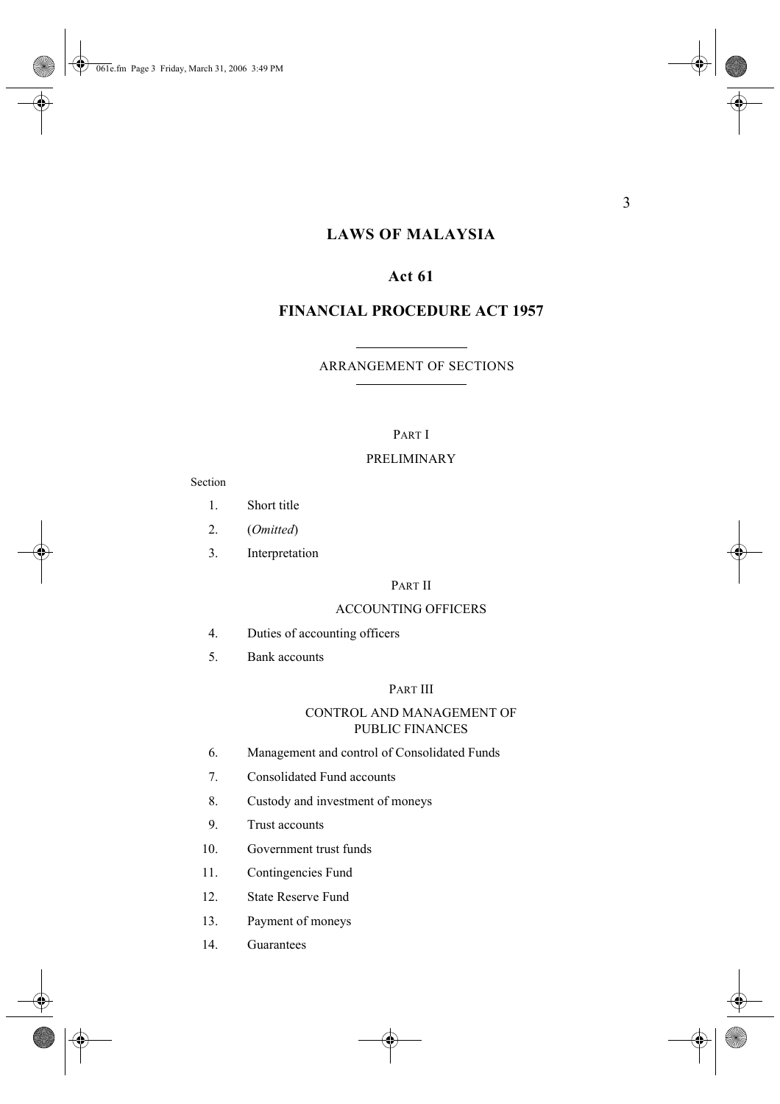# **LAWS OF MALAYSIA**

## **Act 61**

## **FINANCIAL PROCEDURE ACT 1957**

### ARRANGEMENT OF SECTIONS

#### PART I

#### PRELIMINARY

#### Section

- 1. Short title
- 2. (*Omitted*)
- 3. Interpretation

#### PART II

#### ACCOUNTING OFFICERS

- 4. Duties of accounting officers
- 5. Bank accounts

#### PART III

#### CONTROL AND MANAGEMENT OF PUBLIC FINANCES

- 6. Management and control of Consolidated Funds
- 7. Consolidated Fund accounts
- 8. Custody and investment of moneys
- 9. Trust accounts
- 10. Government trust funds
- 11. Contingencies Fund
- 12. State Reserve Fund
- 13. Payment of moneys
- 14. Guarantees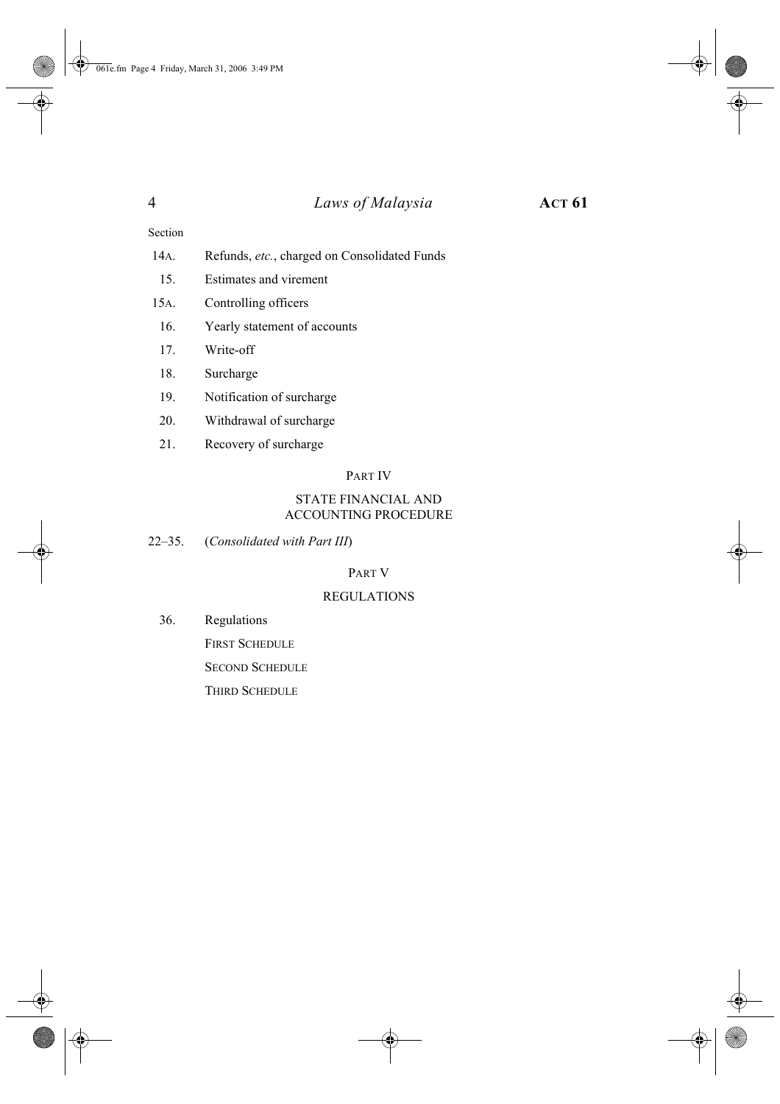#### Section

- 14A. Refunds, *etc.*, charged on Consolidated Funds
- 15. Estimates and virement
- 15A. Controlling officers
- 16. Yearly statement of accounts
- 17. Write-off
- 18. Surcharge
- 19. Notification of surcharge
- 20. Withdrawal of surcharge
- 21. Recovery of surcharge

#### PART IV

#### STATE FINANCIAL AND ACCOUNTING PROCEDURE

22–35. (*Consolidated with Part III*)

#### PART V

#### REGULATIONS

36. Regulations

FIRST SCHEDULE SECOND SCHEDULE

THIRD SCHEDULE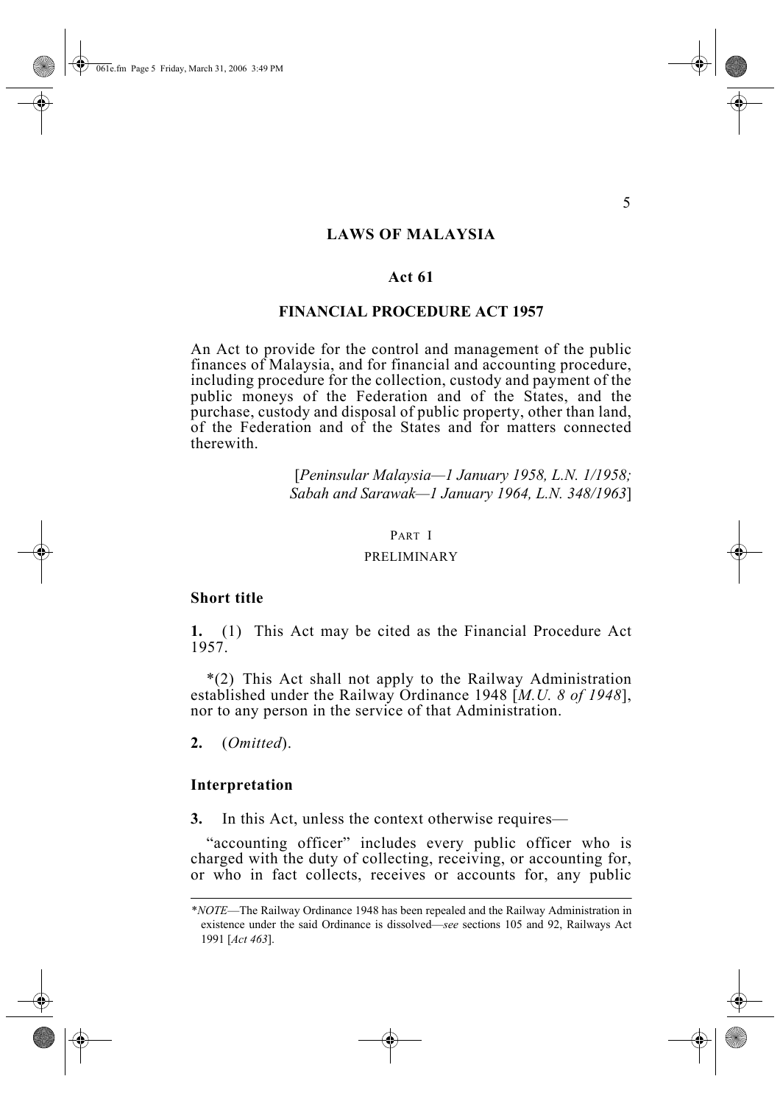#### **LAWS OF MALAYSIA**

#### **Act 61**

#### **FINANCIAL PROCEDURE ACT 1957**

An Act to provide for the control and management of the public finances of Malaysia, and for financial and accounting procedure, including procedure for the collection, custody and payment of the public moneys of the Federation and of the States, and the purchase, custody and disposal of public property, other than land, of the Federation and of the States and for matters connected therewith.

> [*Peninsular Malaysia—1 January 1958, L.N. 1/1958; Sabah and Sarawak—1 January 1964, L.N. 348/1963*]

#### PART I

#### PRELIMINARY

#### **Short title**

**1.** (1) This Act may be cited as the Financial Procedure Act 1957.

\*(2) This Act shall not apply to the Railway Administration established under the Railway Ordinance 1948 [*M.U. 8 of 1948*], nor to any person in the service of that Administration.

**2.** (*Omitted*).

#### **Interpretation**

**3.** In this Act, unless the context otherwise requires—

"accounting officer" includes every public officer who is charged with the duty of collecting, receiving, or accounting for, or who in fact collects, receives or accounts for, any public

<sup>\*</sup>*NOTE*—The Railway Ordinance 1948 has been repealed and the Railway Administration in existence under the said Ordinance is dissolved—*see* sections 105 and 92, Railways Act 1991 [*Act 463*].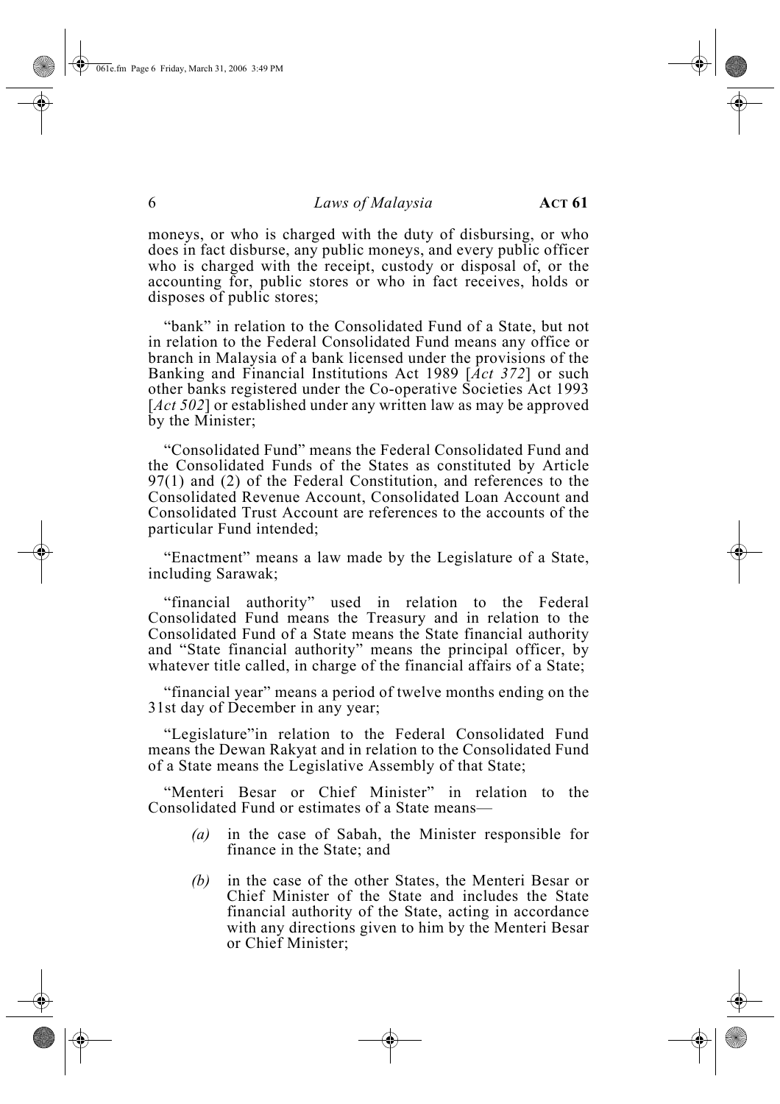moneys, or who is charged with the duty of disbursing, or who does in fact disburse, any public moneys, and every public officer who is charged with the receipt, custody or disposal of, or the accounting for, public stores or who in fact receives, holds or disposes of public stores;

"bank" in relation to the Consolidated Fund of a State, but not in relation to the Federal Consolidated Fund means any office or branch in Malaysia of a bank licensed under the provisions of the Banking and Financial Institutions Act 1989 [*Act 372*] or such other banks registered under the Co-operative Societies Act 1993 [*Act 502*] or established under any written law as may be approved by the Minister;

"Consolidated Fund" means the Federal Consolidated Fund and the Consolidated Funds of the States as constituted by Article 97(1) and (2) of the Federal Constitution, and references to the Consolidated Revenue Account, Consolidated Loan Account and Consolidated Trust Account are references to the accounts of the particular Fund intended;

"Enactment" means a law made by the Legislature of a State, including Sarawak;

"financial authority" used in relation to the Federal Consolidated Fund means the Treasury and in relation to the Consolidated Fund of a State means the State financial authority and "State financial authority" means the principal officer, by whatever title called, in charge of the financial affairs of a State;

"financial year" means a period of twelve months ending on the 31st day of December in any year;

"Legislature"in relation to the Federal Consolidated Fund means the Dewan Rakyat and in relation to the Consolidated Fund of a State means the Legislative Assembly of that State;

"Menteri Besar or Chief Minister" in relation to the Consolidated Fund or estimates of a State means—

- *(a)* in the case of Sabah, the Minister responsible for finance in the State; and
- *(b)* in the case of the other States, the Menteri Besar or Chief Minister of the State and includes the State financial authority of the State, acting in accordance with any directions given to him by the Menteri Besar or Chief Minister;

061e.fm Page 6 Friday, March 31, 2006 3:49 PM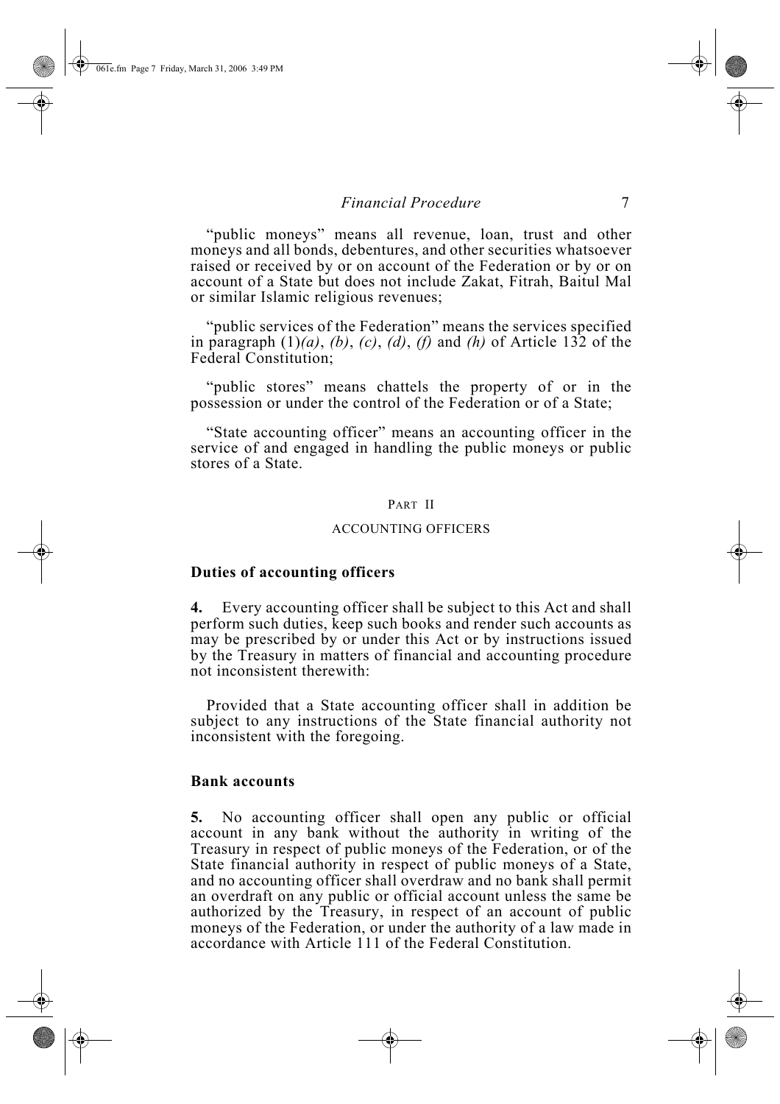"public moneys" means all revenue, loan, trust and other moneys and all bonds, debentures, and other securities whatsoever raised or received by or on account of the Federation or by or on account of a State but does not include Zakat, Fitrah, Baitul Mal or similar Islamic religious revenues;

"public services of the Federation" means the services specified in paragraph (1)*(a)*, *(b)*, *(c)*, *(d)*, *(f)* and *(h)* of Article 132 of the Federal Constitution;

"public stores" means chattels the property of or in the possession or under the control of the Federation or of a State;

"State accounting officer" means an accounting officer in the service of and engaged in handling the public moneys or public stores of a State.

#### PART II

#### ACCOUNTING OFFICERS

#### **Duties of accounting officers**

**4.** Every accounting officer shall be subject to this Act and shall perform such duties, keep such books and render such accounts as may be prescribed by or under this Act or by instructions issued by the Treasury in matters of financial and accounting procedure not inconsistent therewith:

Provided that a State accounting officer shall in addition be subject to any instructions of the State financial authority not inconsistent with the foregoing.

#### **Bank accounts**

**5.** No accounting officer shall open any public or official account in any bank without the authority in writing of the Treasury in respect of public moneys of the Federation, or of the State financial authority in respect of public moneys of a State, and no accounting officer shall overdraw and no bank shall permit an overdraft on any public or official account unless the same be authorized by the Treasury, in respect of an account of public moneys of the Federation, or under the authority of a law made in accordance with Article 111 of the Federal Constitution.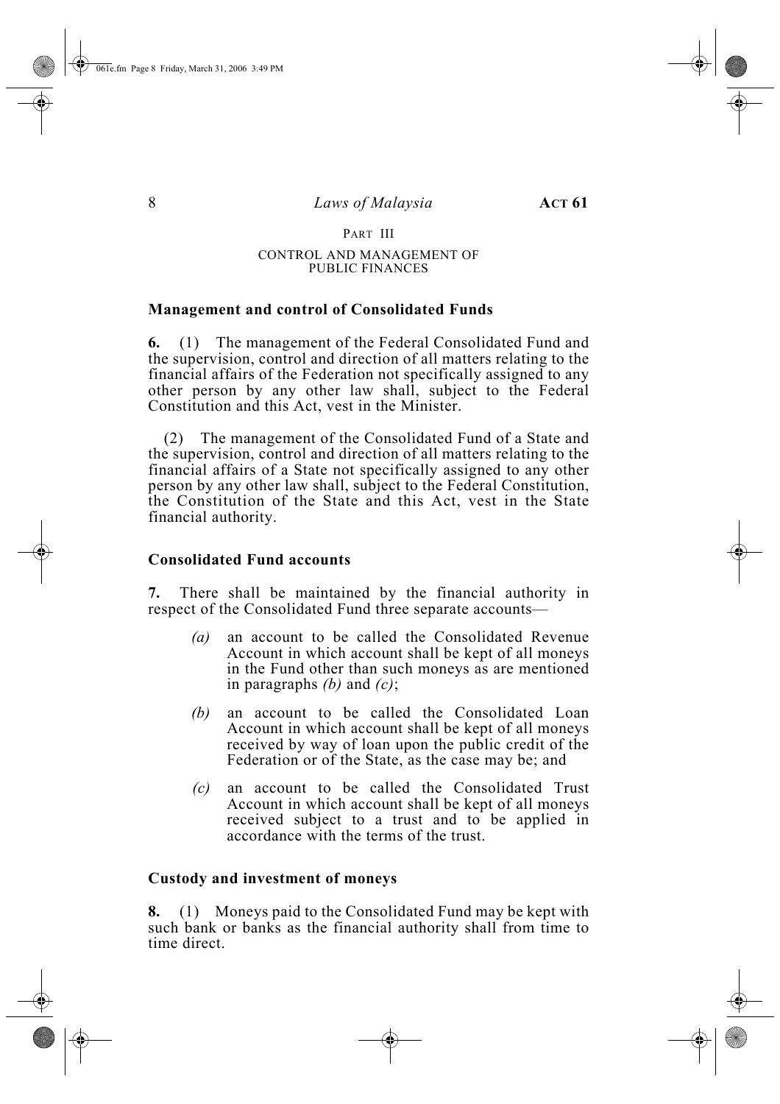#### PART III

#### CONTROL AND MANAGEMENT OF PUBLIC FINANCES

#### **Management and control of Consolidated Funds**

**6.** (1) The management of the Federal Consolidated Fund and the supervision, control and direction of all matters relating to the financial affairs of the Federation not specifically assigned to any other person by any other law shall, subject to the Federal Constitution and this Act, vest in the Minister.

(2) The management of the Consolidated Fund of a State and the supervision, control and direction of all matters relating to the financial affairs of a State not specifically assigned to any other person by any other law shall, subject to the Federal Constitution, the Constitution of the State and this Act, vest in the State financial authority.

#### **Consolidated Fund accounts**

**7.** There shall be maintained by the financial authority in respect of the Consolidated Fund three separate accounts—

- *(a)* an account to be called the Consolidated Revenue Account in which account shall be kept of all moneys in the Fund other than such moneys as are mentioned in paragraphs *(b)* and *(c)*;
- *(b)* an account to be called the Consolidated Loan Account in which account shall be kept of all moneys received by way of loan upon the public credit of the Federation or of the State, as the case may be; and
- *(c)* an account to be called the Consolidated Trust Account in which account shall be kept of all moneys received subject to a trust and to be applied in accordance with the terms of the trust.

#### **Custody and investment of moneys**

**8.** (1) Moneys paid to the Consolidated Fund may be kept with such bank or banks as the financial authority shall from time to time direct.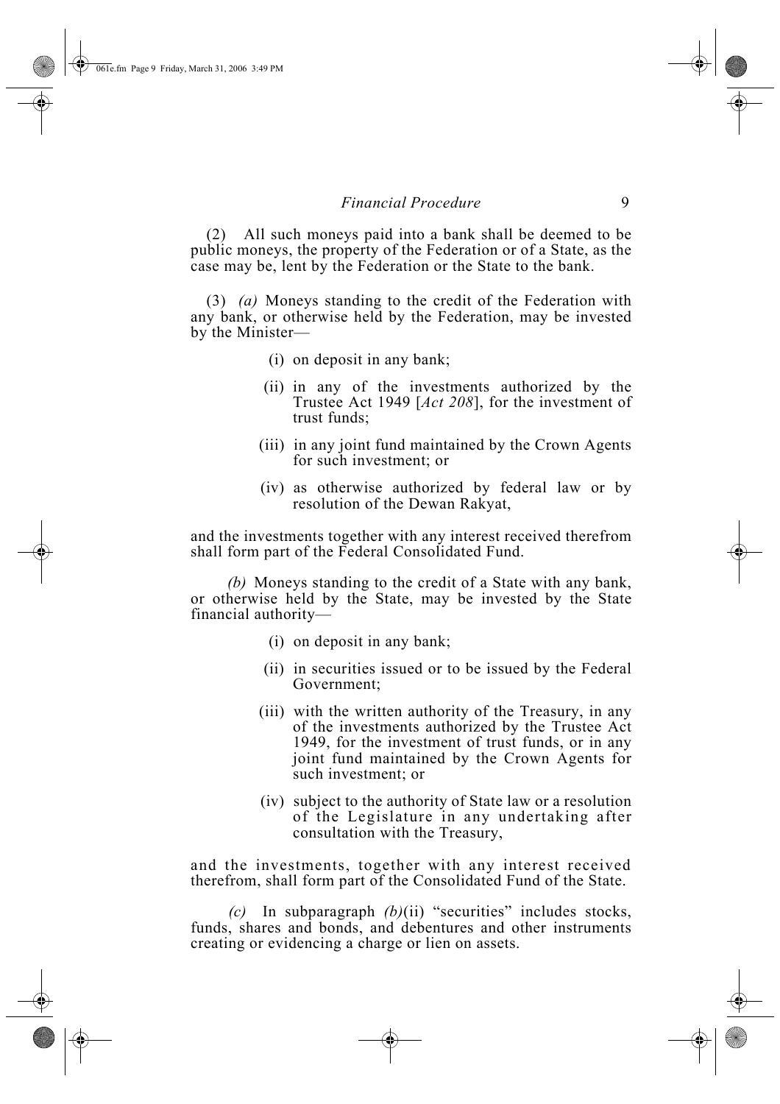(2) All such moneys paid into a bank shall be deemed to be public moneys, the property of the Federation or of a State, as the case may be, lent by the Federation or the State to the bank.

(3) *(a)* Moneys standing to the credit of the Federation with any bank, or otherwise held by the Federation, may be invested by the Minister—

- (i) on deposit in any bank;
- (ii) in any of the investments authorized by the Trustee Act 1949 [*Act 208*], for the investment of trust funds;
- (iii) in any joint fund maintained by the Crown Agents for such investment; or
- (iv) as otherwise authorized by federal law or by resolution of the Dewan Rakyat,

and the investments together with any interest received therefrom shall form part of the Federal Consolidated Fund.

*(b)* Moneys standing to the credit of a State with any bank, or otherwise held by the State, may be invested by the State financial authority—

- (i) on deposit in any bank;
- (ii) in securities issued or to be issued by the Federal Government;
- (iii) with the written authority of the Treasury, in any of the investments authorized by the Trustee Act 1949, for the investment of trust funds, or in any joint fund maintained by the Crown Agents for such investment; or
- (iv) subject to the authority of State law or a resolution of the Legislature in any undertaking after consultation with the Treasury,

and the investments, together with any interest received therefrom, shall form part of the Consolidated Fund of the State.

*(c)* In subparagraph *(b)*(ii) "securities" includes stocks, funds, shares and bonds, and debentures and other instruments creating or evidencing a charge or lien on assets.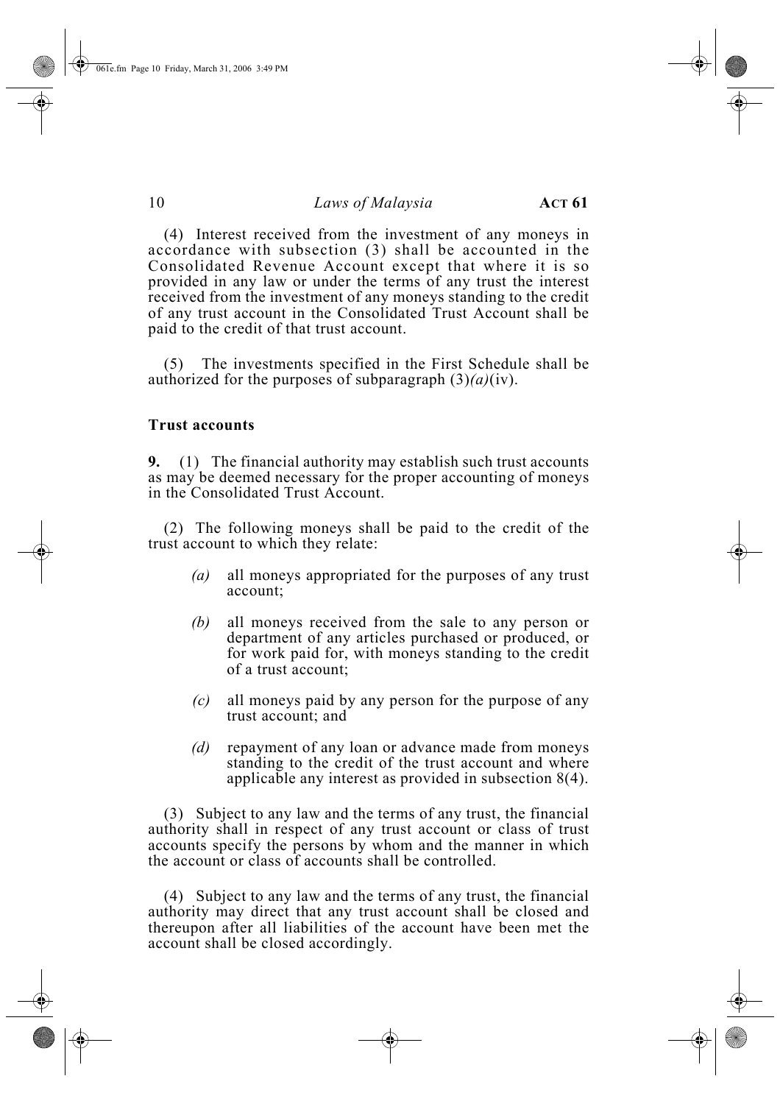(4) Interest received from the investment of any moneys in accordance with subsection (3) shall be accounted in the Consolidated Revenue Account except that where it is so provided in any law or under the terms of any trust the interest received from the investment of any moneys standing to the credit of any trust account in the Consolidated Trust Account shall be paid to the credit of that trust account.

(5) The investments specified in the First Schedule shall be authorized for the purposes of subparagraph (3)*(a)*(iv).

#### **Trust accounts**

**9.** (1) The financial authority may establish such trust accounts as may be deemed necessary for the proper accounting of moneys in the Consolidated Trust Account.

(2) The following moneys shall be paid to the credit of the trust account to which they relate:

- *(a)* all moneys appropriated for the purposes of any trust account;
- *(b)* all moneys received from the sale to any person or department of any articles purchased or produced, or for work paid for, with moneys standing to the credit of a trust account;
- *(c)* all moneys paid by any person for the purpose of any trust account; and
- *(d)* repayment of any loan or advance made from moneys standing to the credit of the trust account and where applicable any interest as provided in subsection 8(4).

(3) Subject to any law and the terms of any trust, the financial authority shall in respect of any trust account or class of trust accounts specify the persons by whom and the manner in which the account or class of accounts shall be controlled.

(4) Subject to any law and the terms of any trust, the financial authority may direct that any trust account shall be closed and thereupon after all liabilities of the account have been met the account shall be closed accordingly.

061e.fm Page 10 Friday, March 31, 2006 3:49 PM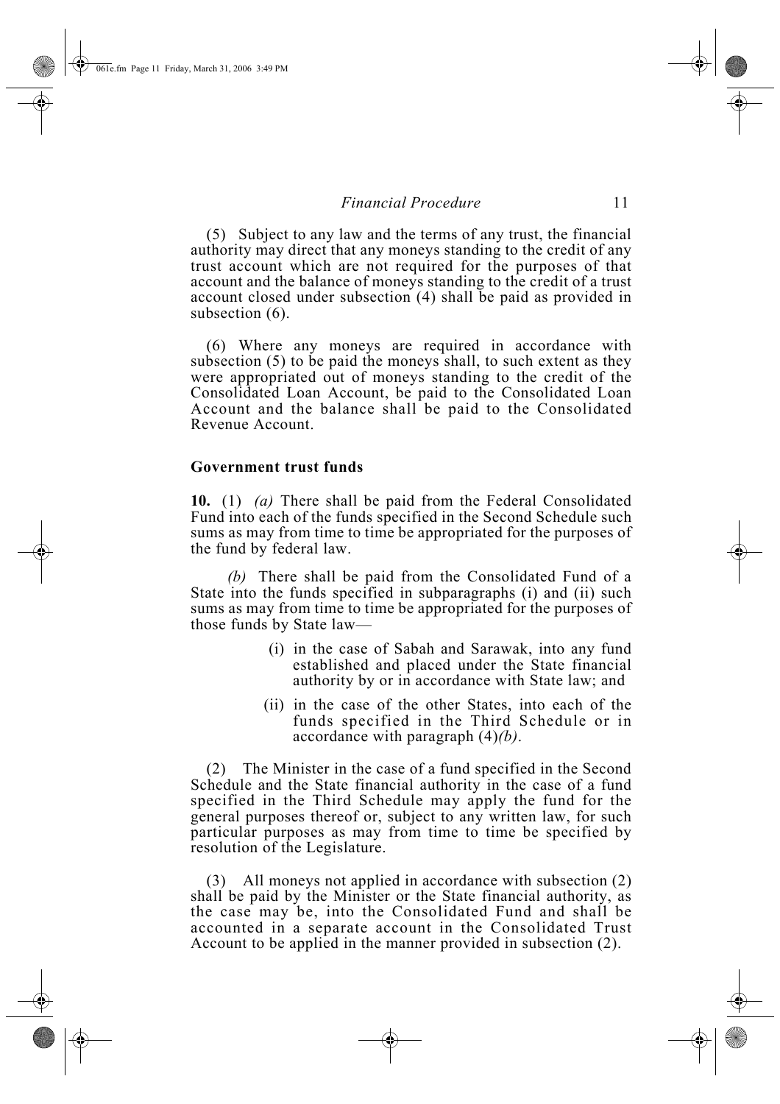(5) Subject to any law and the terms of any trust, the financial authority may direct that any moneys standing to the credit of any trust account which are not required for the purposes of that account and the balance of moneys standing to the credit of a trust account closed under subsection (4) shall be paid as provided in subsection (6).

(6) Where any moneys are required in accordance with subsection (5) to be paid the moneys shall, to such extent as they were appropriated out of moneys standing to the credit of the Consolidated Loan Account, be paid to the Consolidated Loan Account and the balance shall be paid to the Consolidated Revenue Account.

#### **Government trust funds**

**10.** (1) *(a)* There shall be paid from the Federal Consolidated Fund into each of the funds specified in the Second Schedule such sums as may from time to time be appropriated for the purposes of the fund by federal law.

*(b)* There shall be paid from the Consolidated Fund of a State into the funds specified in subparagraphs (i) and (ii) such sums as may from time to time be appropriated for the purposes of those funds by State law—

- (i) in the case of Sabah and Sarawak, into any fund established and placed under the State financial authority by or in accordance with State law; and
- (ii) in the case of the other States, into each of the funds specified in the Third Schedule or in accordance with paragraph (4)*(b)*.

(2) The Minister in the case of a fund specified in the Second Schedule and the State financial authority in the case of a fund specified in the Third Schedule may apply the fund for the general purposes thereof or, subject to any written law, for such particular purposes as may from time to time be specified by resolution of the Legislature.

(3) All moneys not applied in accordance with subsection (2) shall be paid by the Minister or the State financial authority, as the case may be, into the Consolidated Fund and shall be accounted in a separate account in the Consolidated Trust Account to be applied in the manner provided in subsection (2).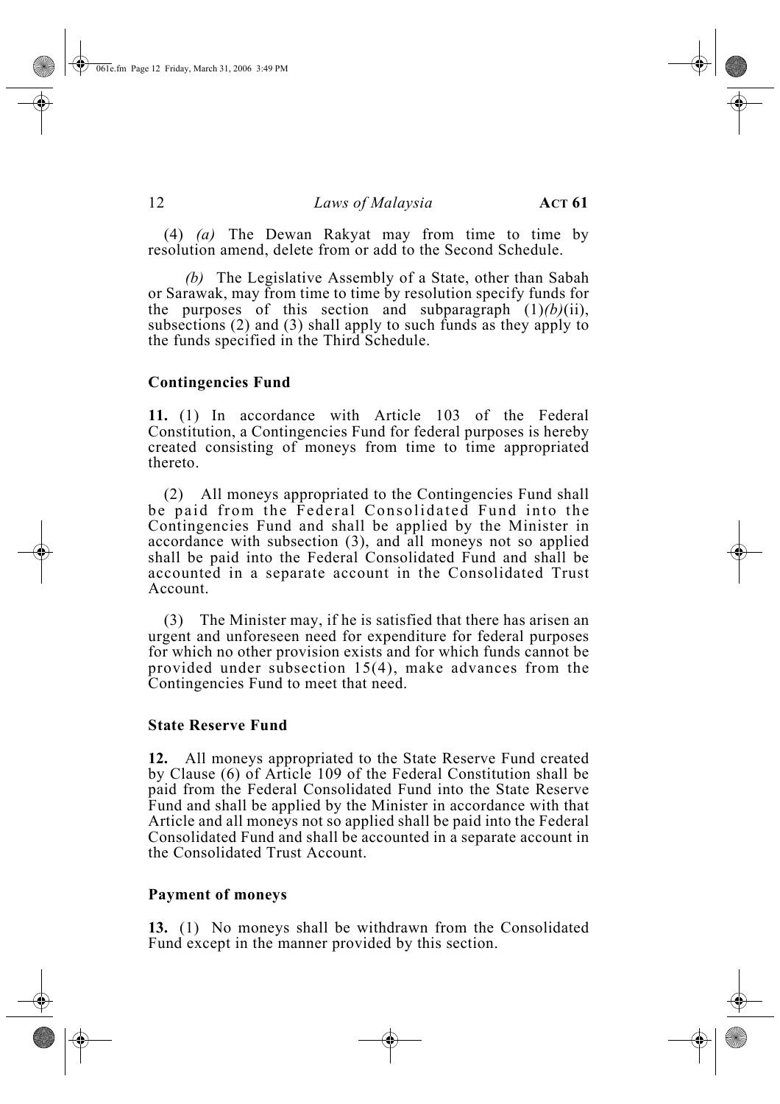061e.fm Page 12 Friday, March 31, 2006 3:49 PM

#### 12 *Laws of Malaysia* **ACT 61**

(4) *(a)* The Dewan Rakyat may from time to time by resolution amend, delete from or add to the Second Schedule.

*(b)* The Legislative Assembly of a State, other than Sabah or Sarawak, may from time to time by resolution specify funds for the purposes of this section and subparagraph  $(1)(b)(ii)$ , subsections (2) and (3) shall apply to such funds as they apply to the funds specified in the Third Schedule.

#### **Contingencies Fund**

**11.** (1) In accordance with Article 103 of the Federal Constitution, a Contingencies Fund for federal purposes is hereby created consisting of moneys from time to time appropriated thereto.

(2) All moneys appropriated to the Contingencies Fund shall be paid from the Federal Consolidated Fund into the Contingencies Fund and shall be applied by the Minister in accordance with subsection (3), and all moneys not so applied shall be paid into the Federal Consolidated Fund and shall be accounted in a separate account in the Consolidated Trust Account.

(3) The Minister may, if he is satisfied that there has arisen an urgent and unforeseen need for expenditure for federal purposes for which no other provision exists and for which funds cannot be provided under subsection 15(4), make advances from the Contingencies Fund to meet that need.

#### **State Reserve Fund**

**12.** All moneys appropriated to the State Reserve Fund created by Clause (6) of Article 109 of the Federal Constitution shall be paid from the Federal Consolidated Fund into the State Reserve Fund and shall be applied by the Minister in accordance with that Article and all moneys not so applied shall be paid into the Federal Consolidated Fund and shall be accounted in a separate account in the Consolidated Trust Account.

#### **Payment of moneys**

**13.** (1) No moneys shall be withdrawn from the Consolidated Fund except in the manner provided by this section.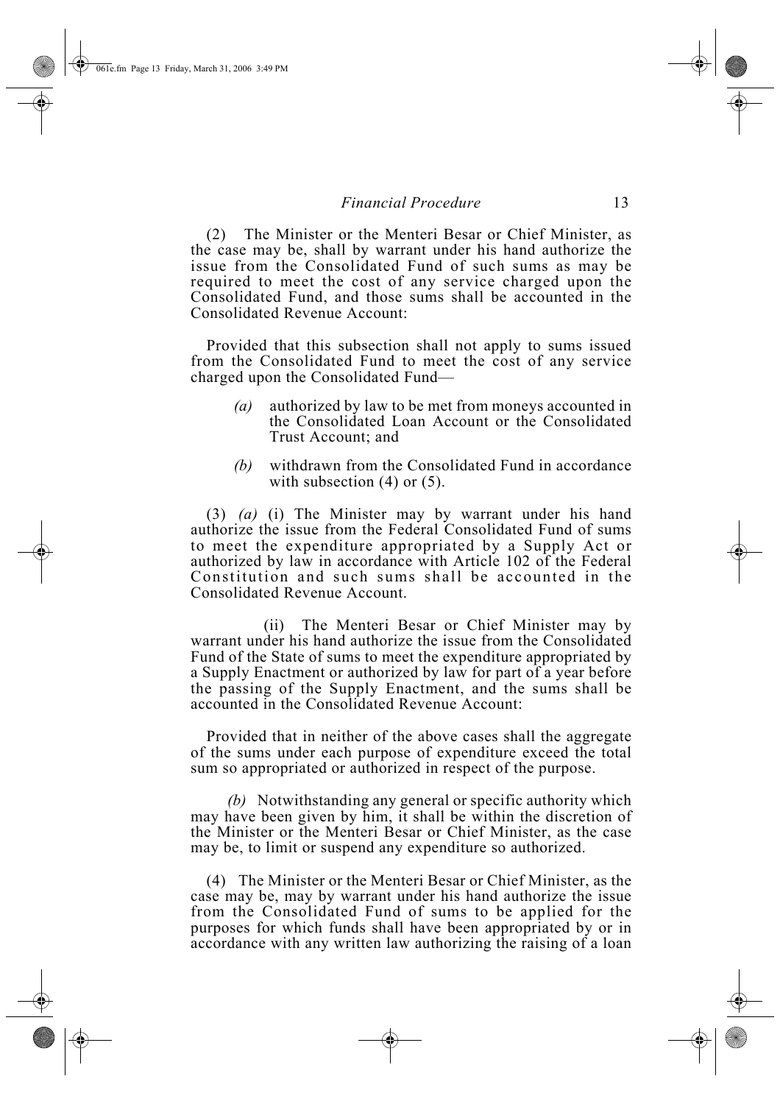(2) The Minister or the Menteri Besar or Chief Minister, as the case may be, shall by warrant under his hand authorize the issue from the Consolidated Fund of such sums as may be required to meet the cost of any service charged upon the Consolidated Fund, and those sums shall be accounted in the Consolidated Revenue Account:

Provided that this subsection shall not apply to sums issued from the Consolidated Fund to meet the cost of any service charged upon the Consolidated Fund—

- *(a)* authorized by law to be met from moneys accounted in the Consolidated Loan Account or the Consolidated Trust Account; and
- *(b)* withdrawn from the Consolidated Fund in accordance with subsection  $(4)$  or  $(5)$ .

(3) *(a)* (i) The Minister may by warrant under his hand authorize the issue from the Federal Consolidated Fund of sums to meet the expenditure appropriated by a Supply Act or authorized by law in accordance with Article 102 of the Federal Constitution and such sums shall be accounted in the Consolidated Revenue Account.

(ii) The Menteri Besar or Chief Minister may by warrant under his hand authorize the issue from the Consolidated Fund of the State of sums to meet the expenditure appropriated by a Supply Enactment or authorized by law for part of a year before the passing of the Supply Enactment, and the sums shall be accounted in the Consolidated Revenue Account:

Provided that in neither of the above cases shall the aggregate of the sums under each purpose of expenditure exceed the total sum so appropriated or authorized in respect of the purpose.

*(b)* Notwithstanding any general or specific authority which may have been given by him, it shall be within the discretion of the Minister or the Menteri Besar or Chief Minister, as the case may be, to limit or suspend any expenditure so authorized.

(4) The Minister or the Menteri Besar or Chief Minister, as the case may be, may by warrant under his hand authorize the issue from the Consolidated Fund of sums to be applied for the purposes for which funds shall have been appropriated by or in accordance with any written law authorizing the raising of a loan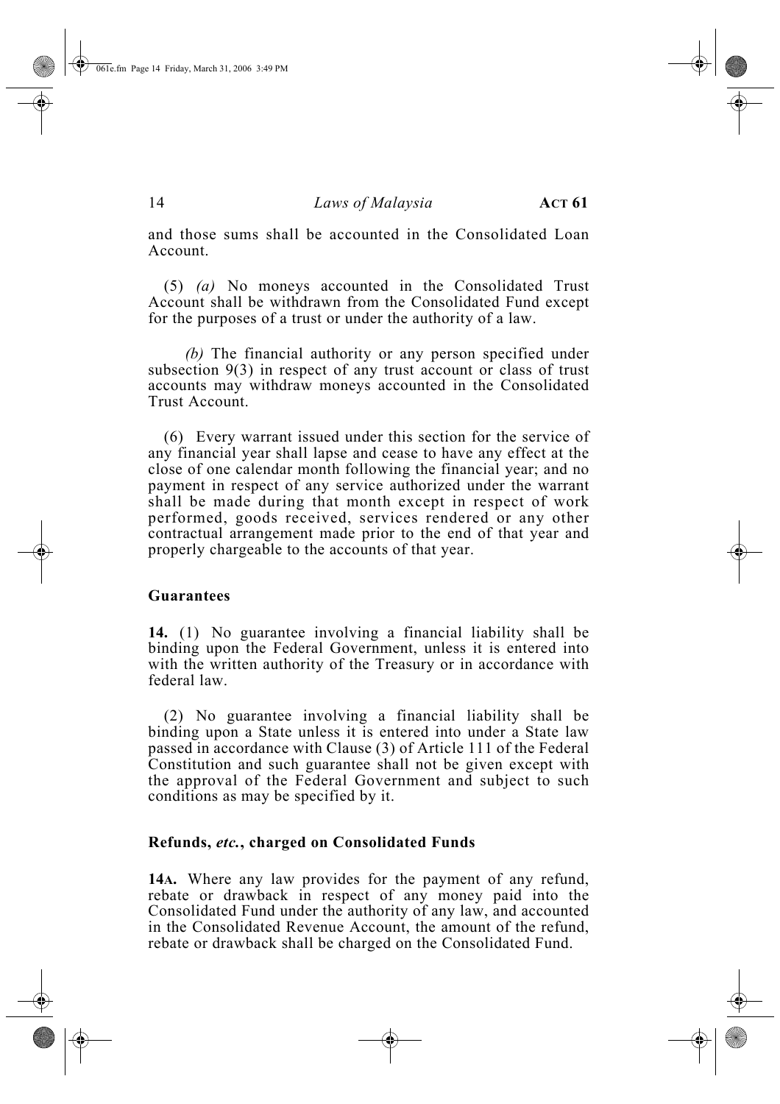and those sums shall be accounted in the Consolidated Loan Account.

(5) *(a)* No moneys accounted in the Consolidated Trust Account shall be withdrawn from the Consolidated Fund except for the purposes of a trust or under the authority of a law.

*(b)* The financial authority or any person specified under subsection 9(3) in respect of any trust account or class of trust accounts may withdraw moneys accounted in the Consolidated Trust Account.

(6) Every warrant issued under this section for the service of any financial year shall lapse and cease to have any effect at the close of one calendar month following the financial year; and no payment in respect of any service authorized under the warrant shall be made during that month except in respect of work performed, goods received, services rendered or any other contractual arrangement made prior to the end of that year and properly chargeable to the accounts of that year.

#### **Guarantees**

**14.** (1) No guarantee involving a financial liability shall be binding upon the Federal Government, unless it is entered into with the written authority of the Treasury or in accordance with federal law.

(2) No guarantee involving a financial liability shall be binding upon a State unless it is entered into under a State law passed in accordance with Clause (3) of Article 111 of the Federal Constitution and such guarantee shall not be given except with the approval of the Federal Government and subject to such conditions as may be specified by it.

#### **Refunds,** *etc.***, charged on Consolidated Funds**

**14A.** Where any law provides for the payment of any refund, rebate or drawback in respect of any money paid into the Consolidated Fund under the authority of any law, and accounted in the Consolidated Revenue Account, the amount of the refund, rebate or drawback shall be charged on the Consolidated Fund.

061e.fm Page 14 Friday, March 31, 2006 3:49 PM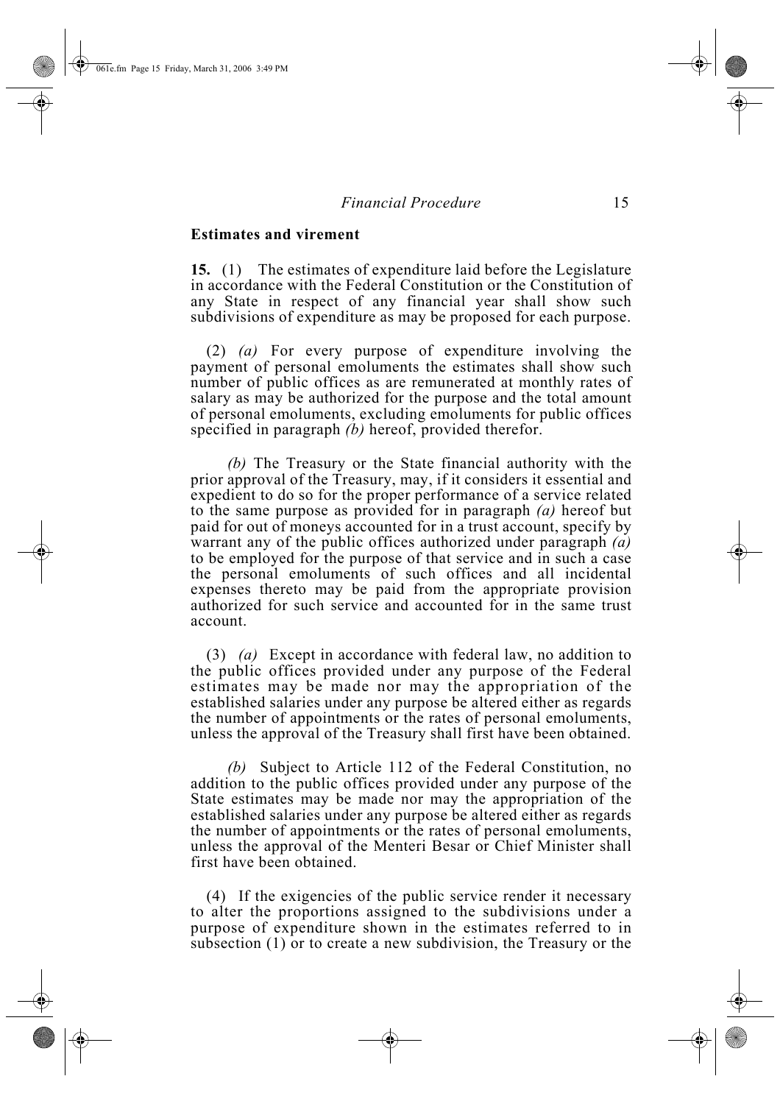#### **Estimates and virement**

**15.** (1) The estimates of expenditure laid before the Legislature in accordance with the Federal Constitution or the Constitution of any State in respect of any financial year shall show such subdivisions of expenditure as may be proposed for each purpose.

(2) *(a)* For every purpose of expenditure involving the payment of personal emoluments the estimates shall show such number of public offices as are remunerated at monthly rates of salary as may be authorized for the purpose and the total amount of personal emoluments, excluding emoluments for public offices specified in paragraph *(b)* hereof, provided therefor.

*(b)* The Treasury or the State financial authority with the prior approval of the Treasury, may, if it considers it essential and expedient to do so for the proper performance of a service related to the same purpose as provided for in paragraph *(a)* hereof but paid for out of moneys accounted for in a trust account, specify by warrant any of the public offices authorized under paragraph *(a)* to be employed for the purpose of that service and in such a case the personal emoluments of such offices and all incidental expenses thereto may be paid from the appropriate provision authorized for such service and accounted for in the same trust account.

(3) *(a)* Except in accordance with federal law, no addition to the public offices provided under any purpose of the Federal estimates may be made nor may the appropriation of the established salaries under any purpose be altered either as regards the number of appointments or the rates of personal emoluments, unless the approval of the Treasury shall first have been obtained.

*(b)* Subject to Article 112 of the Federal Constitution, no addition to the public offices provided under any purpose of the State estimates may be made nor may the appropriation of the established salaries under any purpose be altered either as regards the number of appointments or the rates of personal emoluments, unless the approval of the Menteri Besar or Chief Minister shall first have been obtained.

(4) If the exigencies of the public service render it necessary to alter the proportions assigned to the subdivisions under a purpose of expenditure shown in the estimates referred to in subsection (1) or to create a new subdivision, the Treasury or the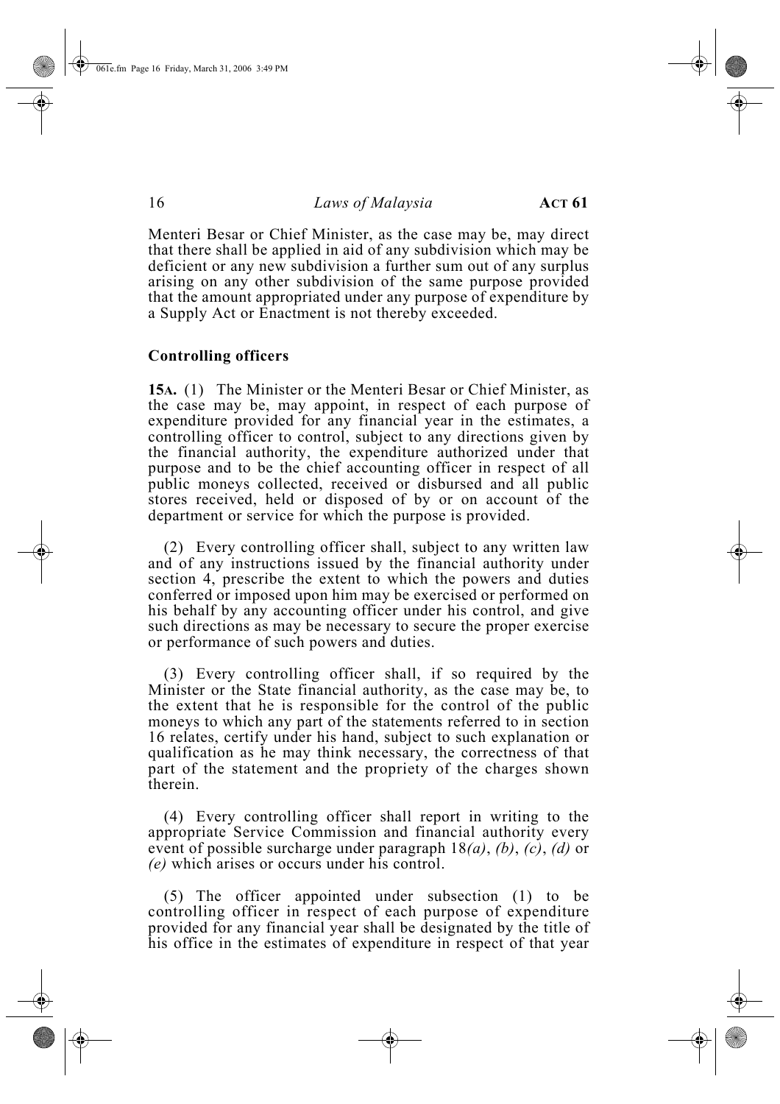Menteri Besar or Chief Minister, as the case may be, may direct that there shall be applied in aid of any subdivision which may be deficient or any new subdivision a further sum out of any surplus arising on any other subdivision of the same purpose provided that the amount appropriated under any purpose of expenditure by a Supply Act or Enactment is not thereby exceeded.

#### **Controlling officers**

**15A.** (1) The Minister or the Menteri Besar or Chief Minister, as the case may be, may appoint, in respect of each purpose of expenditure provided for any financial year in the estimates, a controlling officer to control, subject to any directions given by the financial authority, the expenditure authorized under that purpose and to be the chief accounting officer in respect of all public moneys collected, received or disbursed and all public stores received, held or disposed of by or on account of the department or service for which the purpose is provided.

(2) Every controlling officer shall, subject to any written law and of any instructions issued by the financial authority under section 4, prescribe the extent to which the powers and duties conferred or imposed upon him may be exercised or performed on his behalf by any accounting officer under his control, and give such directions as may be necessary to secure the proper exercise or performance of such powers and duties.

(3) Every controlling officer shall, if so required by the Minister or the State financial authority, as the case may be, to the extent that he is responsible for the control of the public moneys to which any part of the statements referred to in section 16 relates, certify under his hand, subject to such explanation or qualification as he may think necessary, the correctness of that part of the statement and the propriety of the charges shown therein.

(4) Every controlling officer shall report in writing to the appropriate Service Commission and financial authority every event of possible surcharge under paragraph 18*(a)*, *(b)*, *(c)*, *(d)* or *(e)* which arises or occurs under his control.

(5) The officer appointed under subsection (1) to be controlling officer in respect of each purpose of expenditure provided for any financial year shall be designated by the title of his office in the estimates of expenditure in respect of that year

061e.fm Page 16 Friday, March 31, 2006 3:49 PM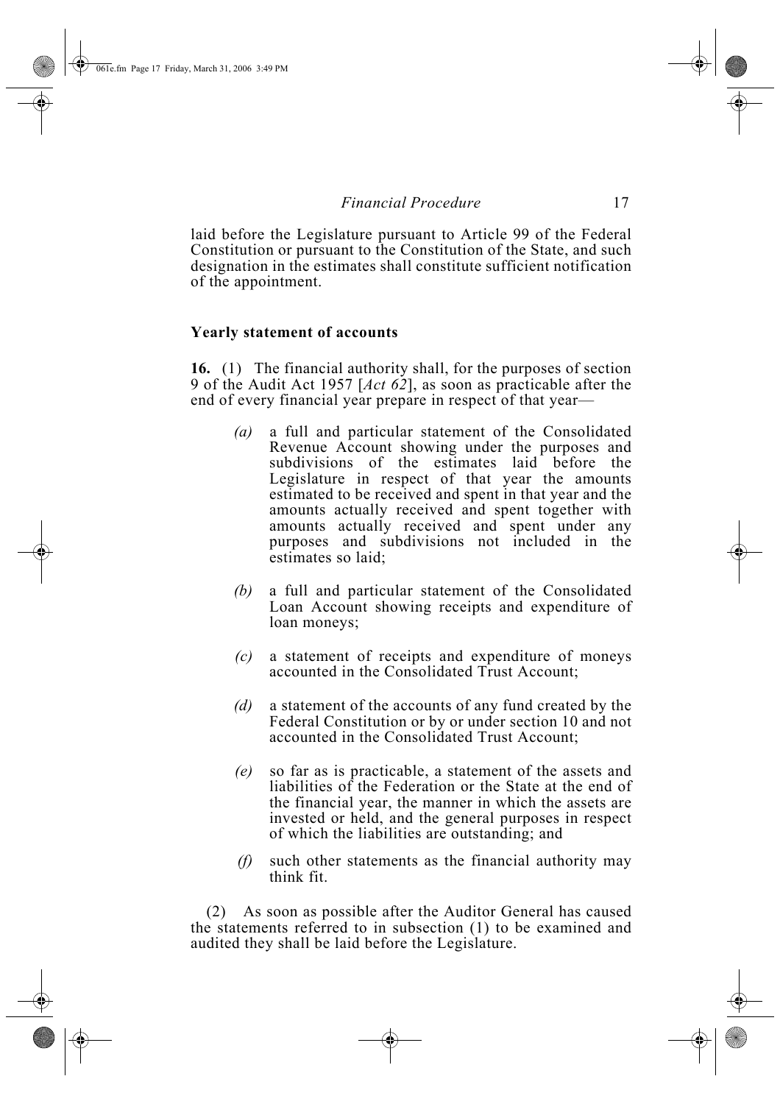laid before the Legislature pursuant to Article 99 of the Federal Constitution or pursuant to the Constitution of the State, and such designation in the estimates shall constitute sufficient notification of the appointment.

#### **Yearly statement of accounts**

**16.** (1) The financial authority shall, for the purposes of section 9 of the Audit Act 1957 [*Act 62*], as soon as practicable after the end of every financial year prepare in respect of that year—

- *(a)* a full and particular statement of the Consolidated Revenue Account showing under the purposes and subdivisions of the estimates laid before the Legislature in respect of that year the amounts estimated to be received and spent in that year and the amounts actually received and spent together with amounts actually received and spent under any purposes and subdivisions not included in the estimates so laid;
- *(b)* a full and particular statement of the Consolidated Loan Account showing receipts and expenditure of loan moneys;
- *(c)* a statement of receipts and expenditure of moneys accounted in the Consolidated Trust Account;
- *(d)* a statement of the accounts of any fund created by the Federal Constitution or by or under section 10 and not accounted in the Consolidated Trust Account;
- *(e)* so far as is practicable, a statement of the assets and liabilities of the Federation or the State at the end of the financial year, the manner in which the assets are invested or held, and the general purposes in respect of which the liabilities are outstanding; and
- *(f)* such other statements as the financial authority may think fit.

(2) As soon as possible after the Auditor General has caused the statements referred to in subsection (1) to be examined and audited they shall be laid before the Legislature.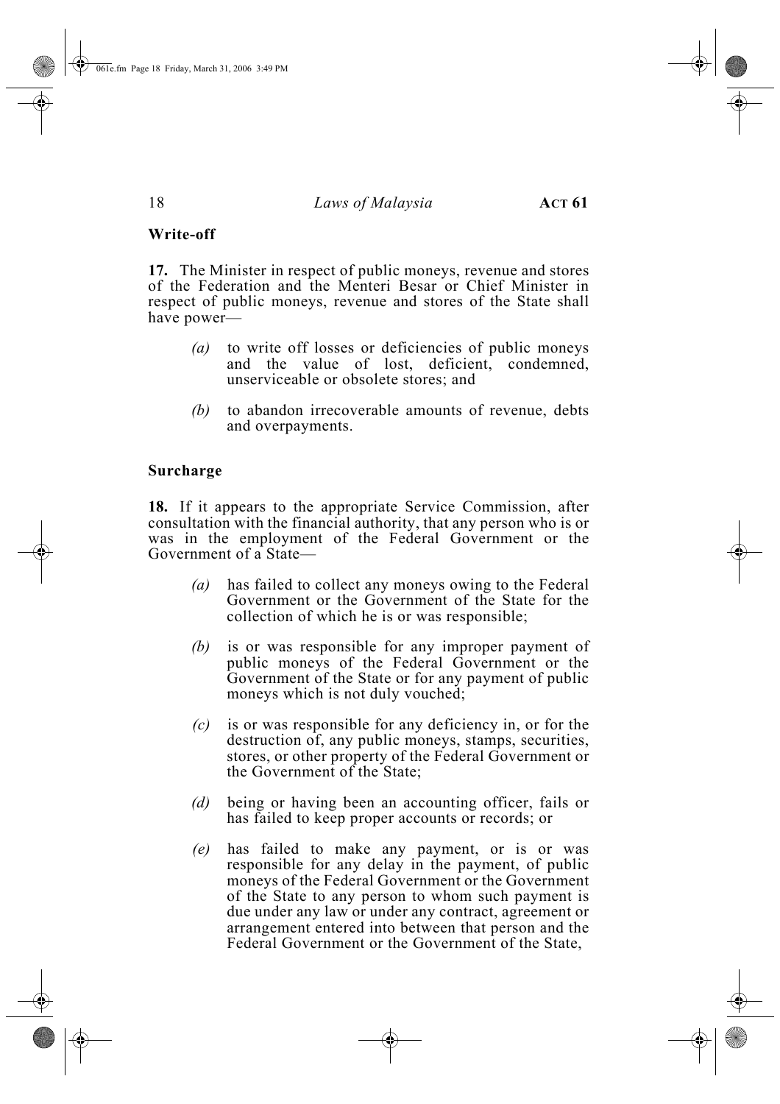#### **Write-off**

**17.** The Minister in respect of public moneys, revenue and stores of the Federation and the Menteri Besar or Chief Minister in respect of public moneys, revenue and stores of the State shall have power—

- *(a)* to write off losses or deficiencies of public moneys and the value of lost, deficient, condemned, unserviceable or obsolete stores; and
- *(b)* to abandon irrecoverable amounts of revenue, debts and overpayments.

#### **Surcharge**

**18.** If it appears to the appropriate Service Commission, after consultation with the financial authority, that any person who is or was in the employment of the Federal Government or the Government of a State—

- *(a)* has failed to collect any moneys owing to the Federal Government or the Government of the State for the collection of which he is or was responsible;
- *(b)* is or was responsible for any improper payment of public moneys of the Federal Government or the Government of the State or for any payment of public moneys which is not duly vouched;
- *(c)* is or was responsible for any deficiency in, or for the destruction of, any public moneys, stamps, securities, stores, or other property of the Federal Government or the Government of the State;
- *(d)* being or having been an accounting officer, fails or has failed to keep proper accounts or records; or
- *(e)* has failed to make any payment, or is or was responsible for any delay in the payment, of public moneys of the Federal Government or the Government of the State to any person to whom such payment is due under any law or under any contract, agreement or arrangement entered into between that person and the Federal Government or the Government of the State,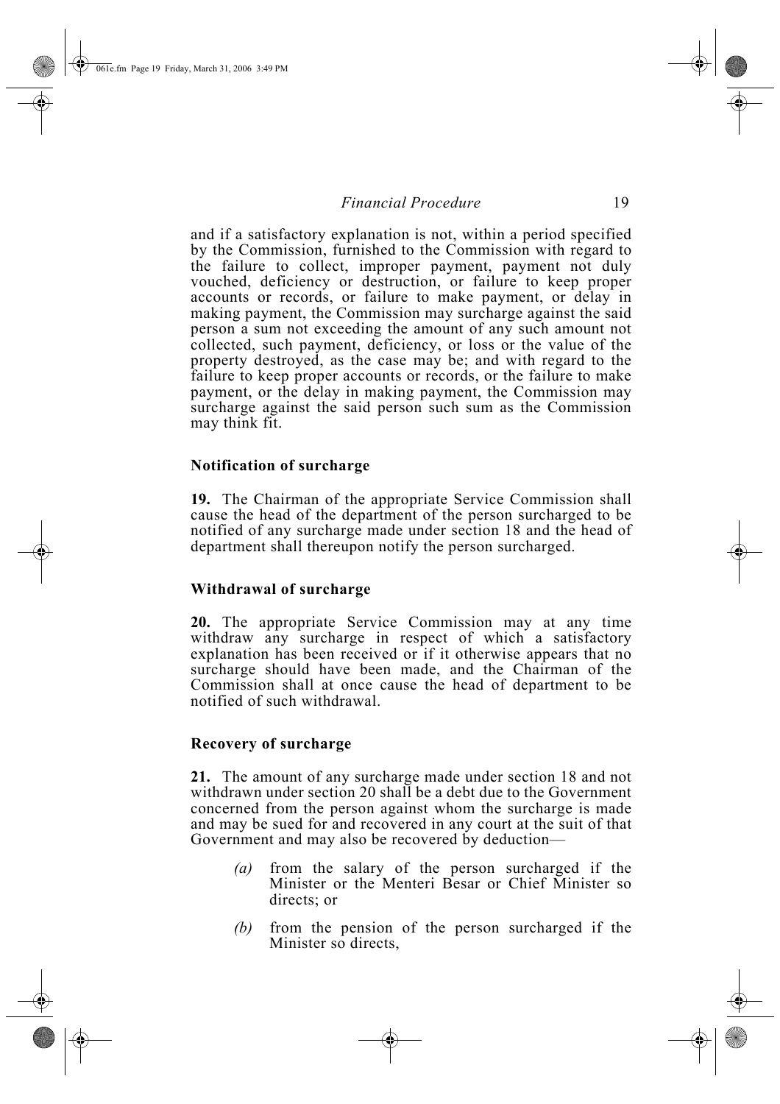and if a satisfactory explanation is not, within a period specified by the Commission, furnished to the Commission with regard to the failure to collect, improper payment, payment not duly vouched, deficiency or destruction, or failure to keep proper accounts or records, or failure to make payment, or delay in making payment, the Commission may surcharge against the said person a sum not exceeding the amount of any such amount not collected, such payment, deficiency, or loss or the value of the property destroyed, as the case may be; and with regard to the failure to keep proper accounts or records, or the failure to make payment, or the delay in making payment, the Commission may surcharge against the said person such sum as the Commission may think fit.

#### **Notification of surcharge**

**19.** The Chairman of the appropriate Service Commission shall cause the head of the department of the person surcharged to be notified of any surcharge made under section 18 and the head of department shall thereupon notify the person surcharged.

#### **Withdrawal of surcharge**

**20.** The appropriate Service Commission may at any time withdraw any surcharge in respect of which a satisfactory explanation has been received or if it otherwise appears that no surcharge should have been made, and the Chairman of the Commission shall at once cause the head of department to be notified of such withdrawal.

#### **Recovery of surcharge**

**21.** The amount of any surcharge made under section 18 and not withdrawn under section 20 shall be a debt due to the Government concerned from the person against whom the surcharge is made and may be sued for and recovered in any court at the suit of that Government and may also be recovered by deduction—

- *(a)* from the salary of the person surcharged if the Minister or the Menteri Besar or Chief Minister so directs; or
- *(b)* from the pension of the person surcharged if the Minister so directs,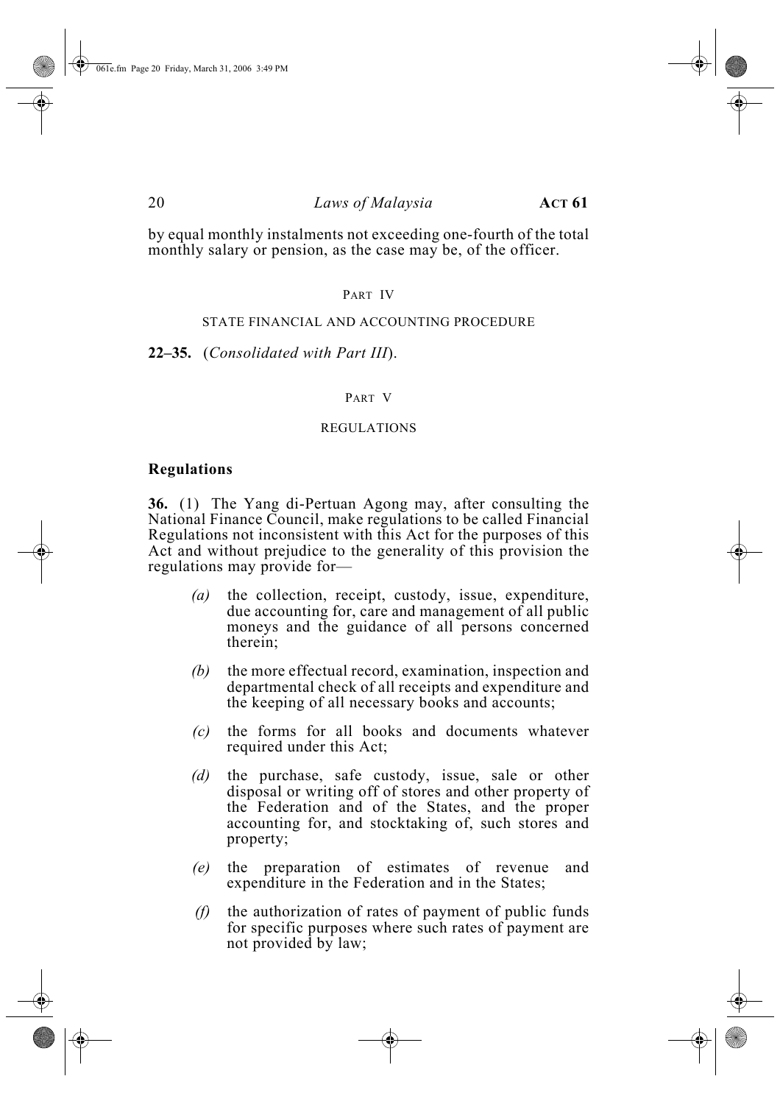by equal monthly instalments not exceeding one-fourth of the total monthly salary or pension, as the case may be, of the officer.

#### PART IV

#### STATE FINANCIAL AND ACCOUNTING PROCEDURE

**22–35.** (*Consolidated with Part III*).

#### PART V

#### REGULATIONS

#### **Regulations**

**36.** (1) The Yang di-Pertuan Agong may, after consulting the National Finance Council, make regulations to be called Financial Regulations not inconsistent with this Act for the purposes of this Act and without prejudice to the generality of this provision the regulations may provide for—

- *(a)* the collection, receipt, custody, issue, expenditure, due accounting for, care and management of all public moneys and the guidance of all persons concerned therein;
- *(b)* the more effectual record, examination, inspection and departmental check of all receipts and expenditure and the keeping of all necessary books and accounts;
- *(c)* the forms for all books and documents whatever required under this Act;
- *(d)* the purchase, safe custody, issue, sale or other disposal or writing off of stores and other property of the Federation and of the States, and the proper accounting for, and stocktaking of, such stores and property;
- *(e)* the preparation of estimates of revenue and expenditure in the Federation and in the States;
- *(f)* the authorization of rates of payment of public funds for specific purposes where such rates of payment are not provided by law;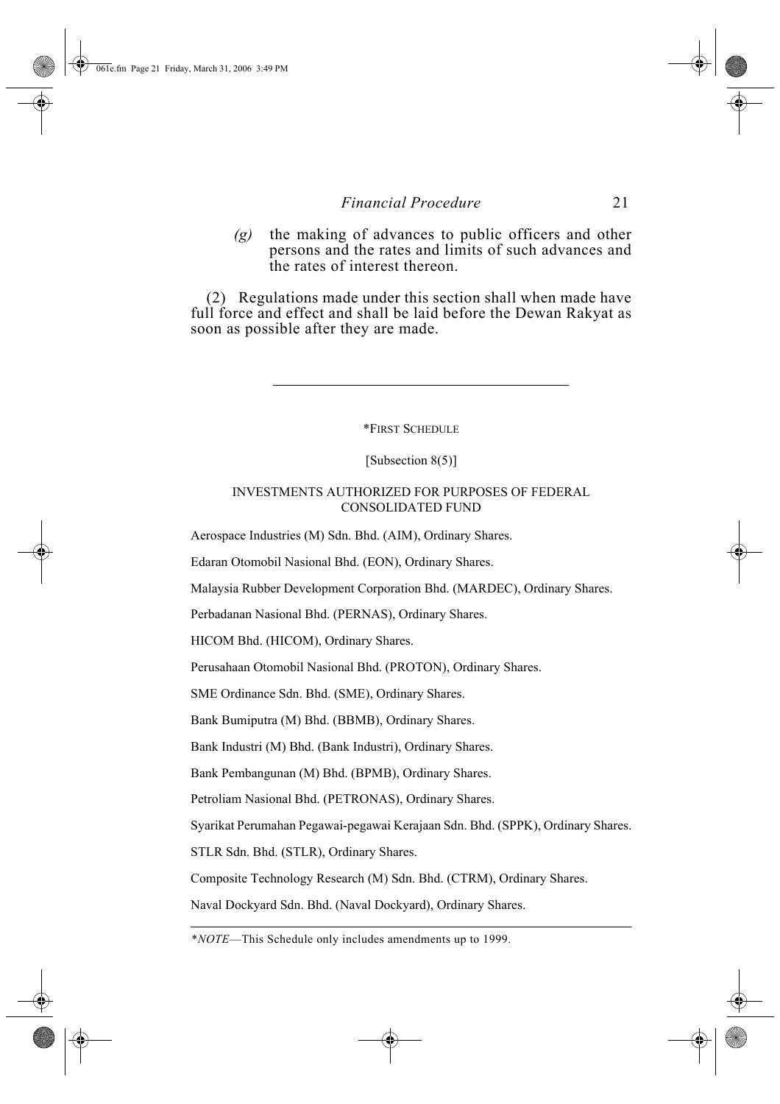*(g)* the making of advances to public officers and other persons and the rates and limits of such advances and the rates of interest thereon.

(2) Regulations made under this section shall when made have full force and effect and shall be laid before the Dewan Rakyat as soon as possible after they are made.

\*FIRST SCHEDULE

[Subsection 8(5)]

#### INVESTMENTS AUTHORIZED FOR PURPOSES OF FEDERAL CONSOLIDATED FUND

Aerospace Industries (M) Sdn. Bhd. (AIM), Ordinary Shares.

Edaran Otomobil Nasional Bhd. (EON), Ordinary Shares.

Malaysia Rubber Development Corporation Bhd. (MARDEC), Ordinary Shares.

Perbadanan Nasional Bhd. (PERNAS), Ordinary Shares.

HICOM Bhd. (HICOM), Ordinary Shares.

Perusahaan Otomobil Nasional Bhd. (PROTON), Ordinary Shares.

SME Ordinance Sdn. Bhd. (SME), Ordinary Shares.

Bank Bumiputra (M) Bhd. (BBMB), Ordinary Shares.

Bank Industri (M) Bhd. (Bank Industri), Ordinary Shares.

Bank Pembangunan (M) Bhd. (BPMB), Ordinary Shares.

Petroliam Nasional Bhd. (PETRONAS), Ordinary Shares.

Syarikat Perumahan Pegawai-pegawai Kerajaan Sdn. Bhd. (SPPK), Ordinary Shares.

STLR Sdn. Bhd. (STLR), Ordinary Shares.

Composite Technology Research (M) Sdn. Bhd. (CTRM), Ordinary Shares.

Naval Dockyard Sdn. Bhd. (Naval Dockyard), Ordinary Shares.

\**NOTE*—This Schedule only includes amendments up to 1999.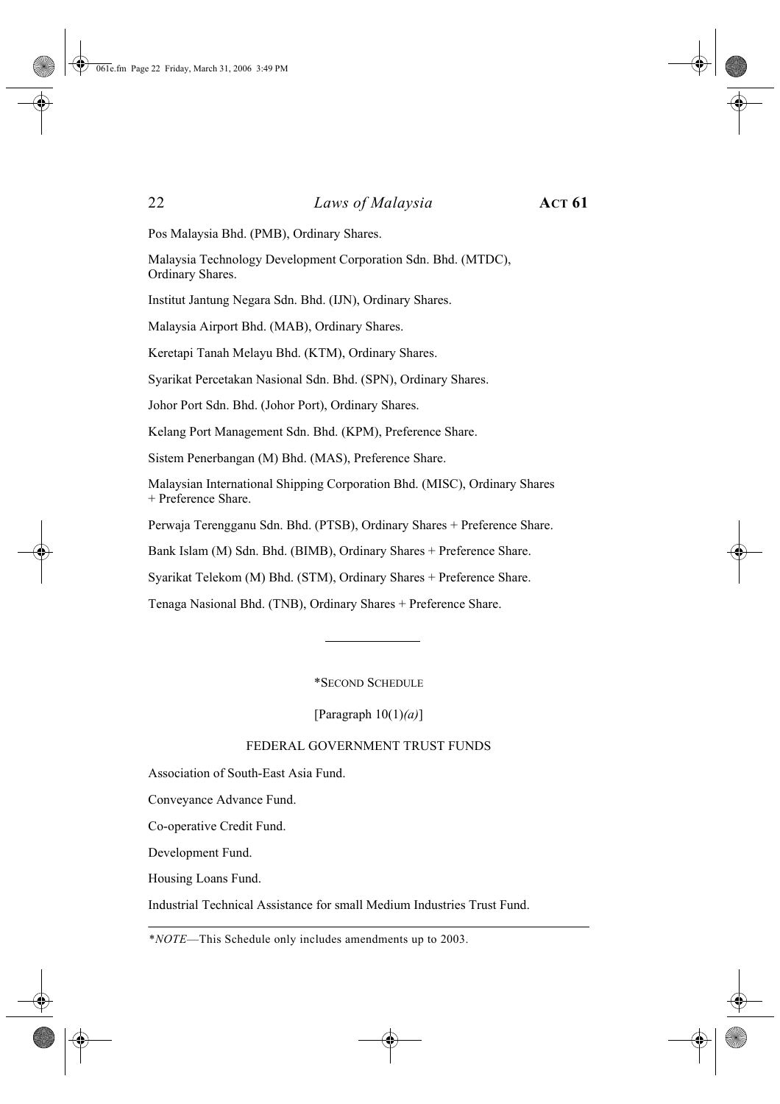Pos Malaysia Bhd. (PMB), Ordinary Shares.

Malaysia Technology Development Corporation Sdn. Bhd. (MTDC), Ordinary Shares.

Institut Jantung Negara Sdn. Bhd. (IJN), Ordinary Shares.

Malaysia Airport Bhd. (MAB), Ordinary Shares.

Keretapi Tanah Melayu Bhd. (KTM), Ordinary Shares.

Syarikat Percetakan Nasional Sdn. Bhd. (SPN), Ordinary Shares.

Johor Port Sdn. Bhd. (Johor Port), Ordinary Shares.

Kelang Port Management Sdn. Bhd. (KPM), Preference Share.

Sistem Penerbangan (M) Bhd. (MAS), Preference Share.

Malaysian International Shipping Corporation Bhd. (MISC), Ordinary Shares + Preference Share.

Perwaja Terengganu Sdn. Bhd. (PTSB), Ordinary Shares + Preference Share.

Bank Islam (M) Sdn. Bhd. (BIMB), Ordinary Shares + Preference Share.

Syarikat Telekom (M) Bhd. (STM), Ordinary Shares + Preference Share.

Tenaga Nasional Bhd. (TNB), Ordinary Shares + Preference Share.

\*SECOND SCHEDULE

[Paragraph 10(1)*(a)*]

#### FEDERAL GOVERNMENT TRUST FUNDS

Association of South-East Asia Fund.

Conveyance Advance Fund.

Co-operative Credit Fund.

Development Fund.

Housing Loans Fund.

Industrial Technical Assistance for small Medium Industries Trust Fund.

\**NOTE*—This Schedule only includes amendments up to 2003.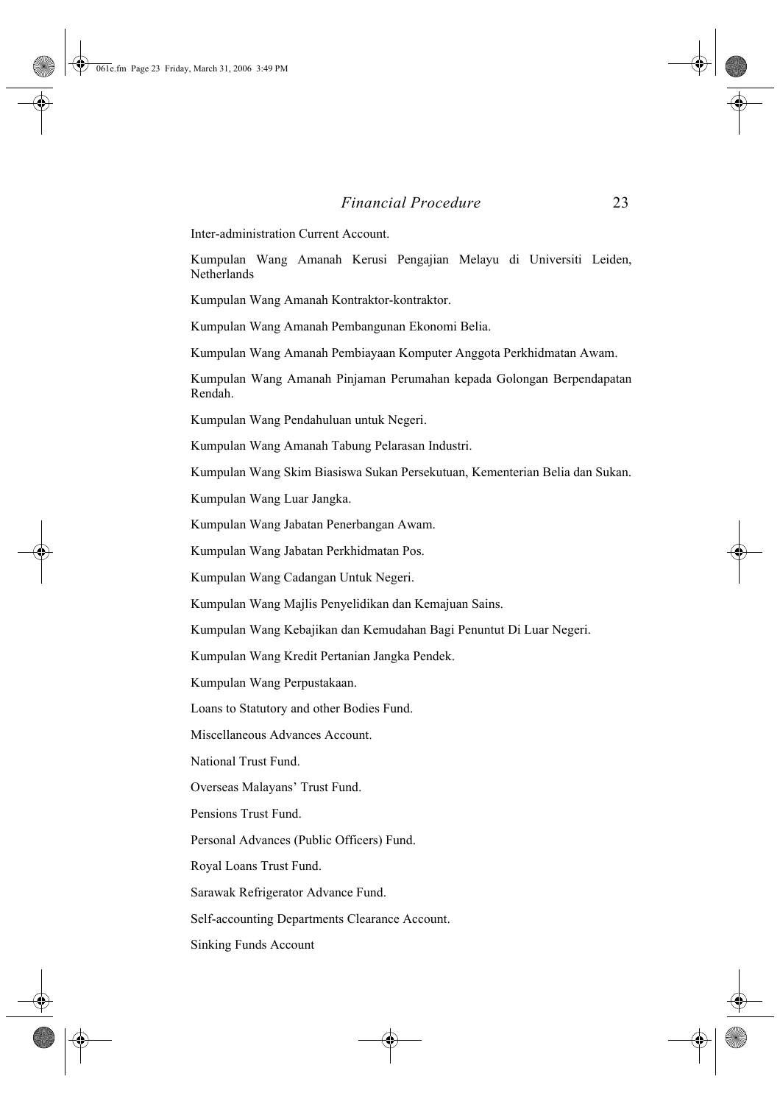Inter-administration Current Account.

Kumpulan Wang Amanah Kerusi Pengajian Melayu di Universiti Leiden, Netherlands

Kumpulan Wang Amanah Kontraktor-kontraktor.

Kumpulan Wang Amanah Pembangunan Ekonomi Belia.

Kumpulan Wang Amanah Pembiayaan Komputer Anggota Perkhidmatan Awam.

Kumpulan Wang Amanah Pinjaman Perumahan kepada Golongan Berpendapatan Rendah.

Kumpulan Wang Pendahuluan untuk Negeri.

Kumpulan Wang Amanah Tabung Pelarasan Industri.

Kumpulan Wang Skim Biasiswa Sukan Persekutuan, Kementerian Belia dan Sukan.

Kumpulan Wang Luar Jangka.

Kumpulan Wang Jabatan Penerbangan Awam.

Kumpulan Wang Jabatan Perkhidmatan Pos.

Kumpulan Wang Cadangan Untuk Negeri.

Kumpulan Wang Majlis Penyelidikan dan Kemajuan Sains.

Kumpulan Wang Kebajikan dan Kemudahan Bagi Penuntut Di Luar Negeri.

Kumpulan Wang Kredit Pertanian Jangka Pendek.

Kumpulan Wang Perpustakaan.

Loans to Statutory and other Bodies Fund.

Miscellaneous Advances Account.

National Trust Fund.

Overseas Malayans' Trust Fund.

Pensions Trust Fund.

Personal Advances (Public Officers) Fund.

Royal Loans Trust Fund.

Sarawak Refrigerator Advance Fund.

Self-accounting Departments Clearance Account.

Sinking Funds Account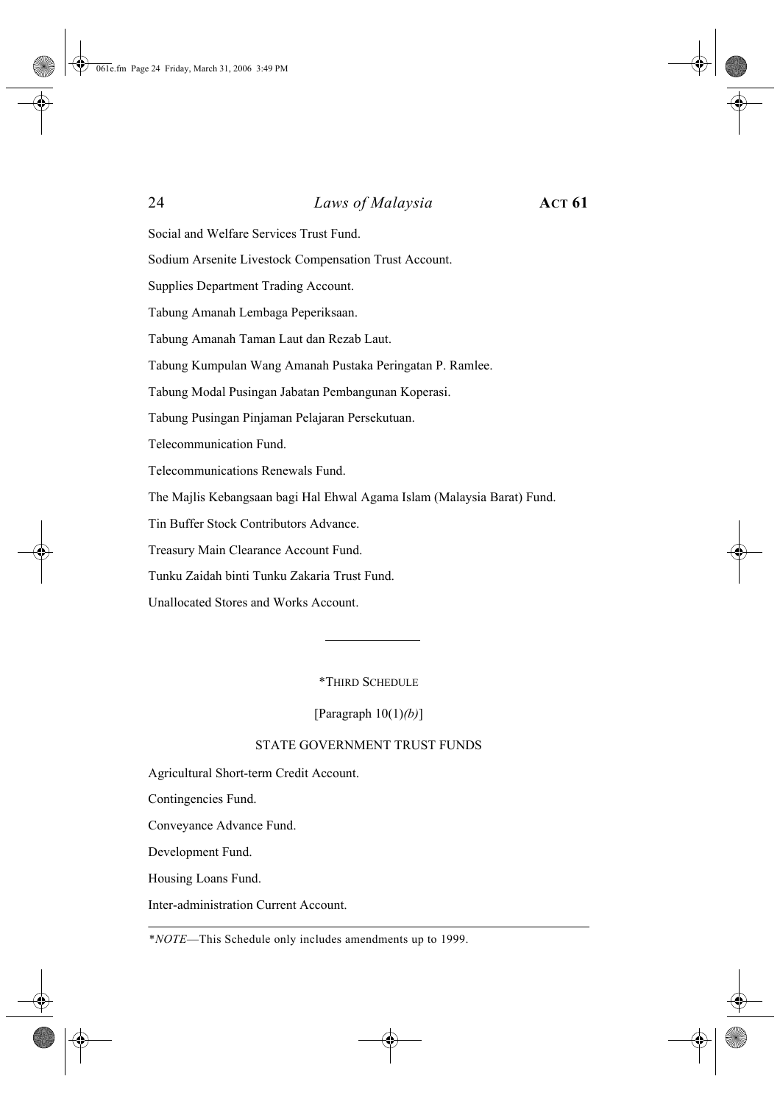Social and Welfare Services Trust Fund.

Sodium Arsenite Livestock Compensation Trust Account.

Supplies Department Trading Account.

Tabung Amanah Lembaga Peperiksaan.

Tabung Amanah Taman Laut dan Rezab Laut.

Tabung Kumpulan Wang Amanah Pustaka Peringatan P. Ramlee.

Tabung Modal Pusingan Jabatan Pembangunan Koperasi.

Tabung Pusingan Pinjaman Pelajaran Persekutuan.

Telecommunication Fund.

Telecommunications Renewals Fund.

The Majlis Kebangsaan bagi Hal Ehwal Agama Islam (Malaysia Barat) Fund.

Tin Buffer Stock Contributors Advance.

Treasury Main Clearance Account Fund.

Tunku Zaidah binti Tunku Zakaria Trust Fund.

Unallocated Stores and Works Account.

\*THIRD SCHEDULE

[Paragraph 10(1)*(b)*]

#### STATE GOVERNMENT TRUST FUNDS

Agricultural Short-term Credit Account.

Contingencies Fund.

Conveyance Advance Fund.

Development Fund.

Housing Loans Fund.

Inter-administration Current Account.

\**NOTE*—This Schedule only includes amendments up to 1999.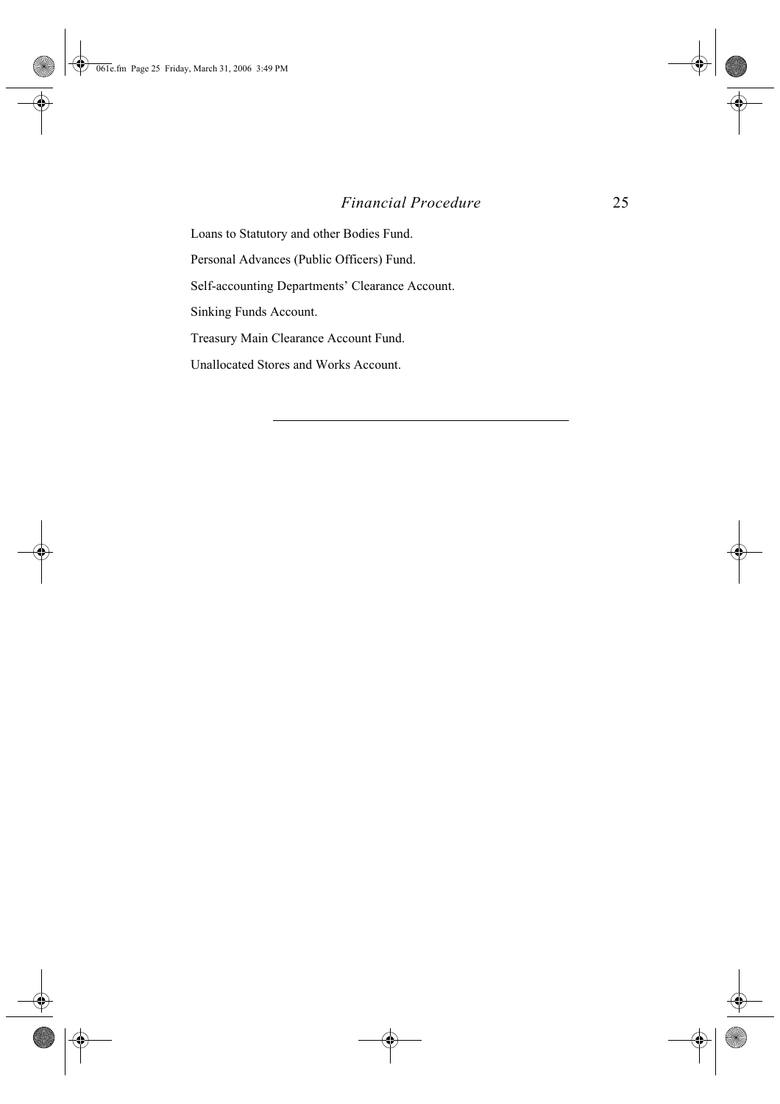### *Financial Procedure* 25

Loans to Statutory and other Bodies Fund. Personal Advances (Public Officers) Fund. Self-accounting Departments' Clearance Account. Sinking Funds Account. Treasury Main Clearance Account Fund. Unallocated Stores and Works Account.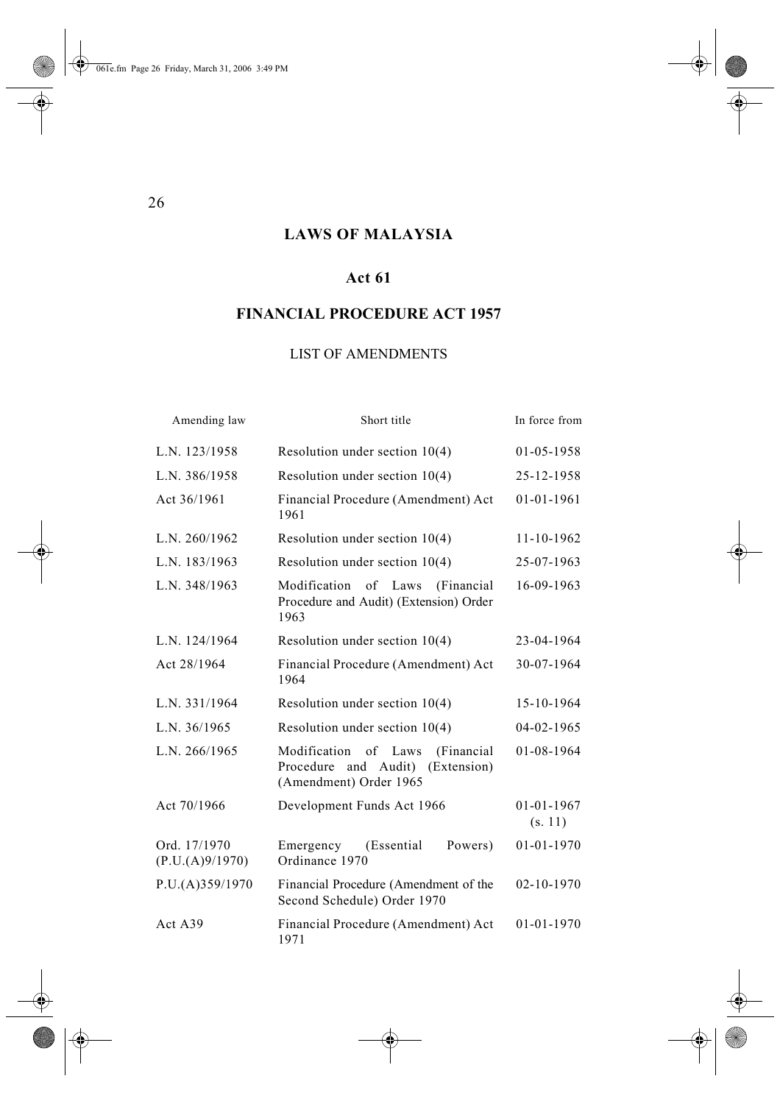# **LAWS OF MALAYSIA**

# **Act 61**

# **FINANCIAL PROCEDURE ACT 1957**

# LIST OF AMENDMENTS

| Amending law                    | Short title                                                                                               | In force from               |
|---------------------------------|-----------------------------------------------------------------------------------------------------------|-----------------------------|
| L.N. 123/1958                   | Resolution under section $10(4)$                                                                          | 01-05-1958                  |
| L.N. 386/1958                   | Resolution under section $10(4)$                                                                          | 25-12-1958                  |
| Act 36/1961                     | Financial Procedure (Amendment) Act<br>1961                                                               | 01-01-1961                  |
| L.N. 260/1962                   | Resolution under section $10(4)$                                                                          | 11-10-1962                  |
| L.N. 183/1963                   | Resolution under section $10(4)$                                                                          | 25-07-1963                  |
| L.N. 348/1963                   | Modification of Laws<br>(Financial<br>Procedure and Audit) (Extension) Order<br>1963                      | 16-09-1963                  |
| L.N. 124/1964                   | Resolution under section $10(4)$                                                                          | 23-04-1964                  |
| Act 28/1964                     | Financial Procedure (Amendment) Act<br>1964                                                               | 30-07-1964                  |
| L.N. 331/1964                   | Resolution under section $10(4)$                                                                          | 15-10-1964                  |
| L.N. 36/1965                    | Resolution under section $10(4)$                                                                          | 04-02-1965                  |
| L.N. 266/1965                   | Modification of Laws<br>(Financial<br>Procedure<br>and<br>Audit)<br>(Extension)<br>(Amendment) Order 1965 | 01-08-1964                  |
| Act 70/1966                     | Development Funds Act 1966                                                                                | $01 - 01 - 1967$<br>(s. 11) |
| Ord. 17/1970<br>(P.U.(A)9/1970) | (Essential<br>Powers)<br>Emergency<br>Ordinance 1970                                                      | $01 - 01 - 1970$            |
| P.U.(A)359/1970                 | Financial Procedure (Amendment of the<br>Second Schedule) Order 1970                                      | 02-10-1970                  |
| Act A39                         | Financial Procedure (Amendment) Act<br>1971                                                               | 01-01-1970                  |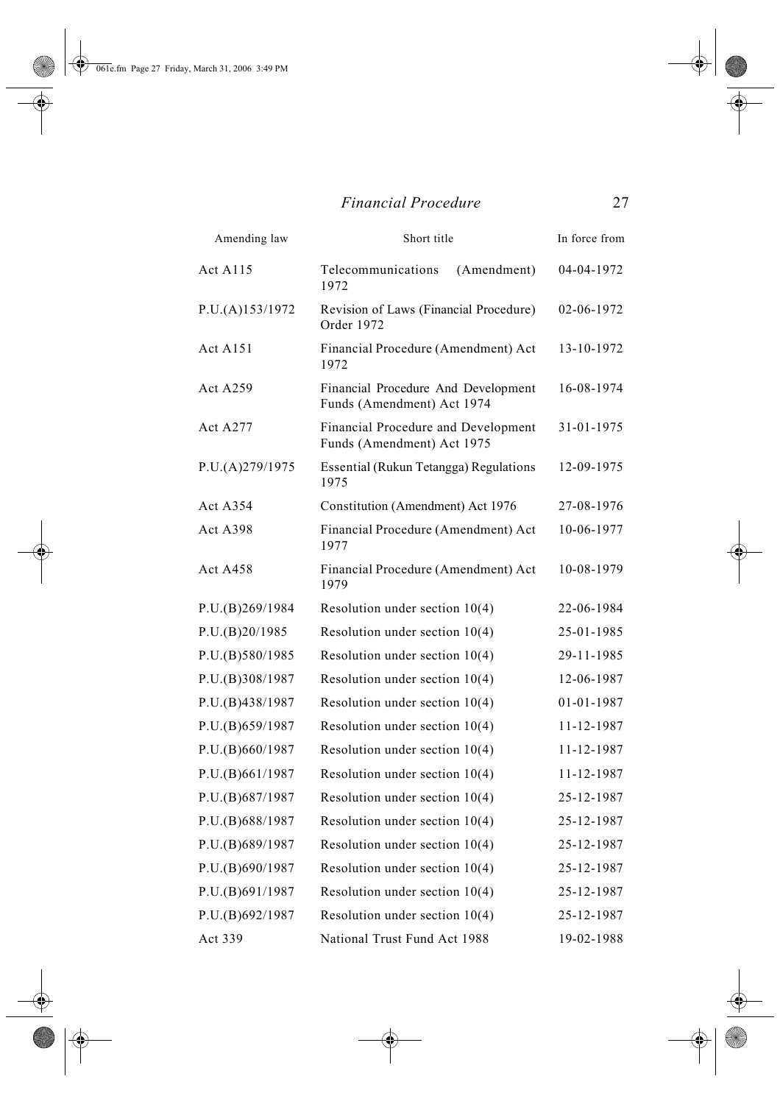$\overline{\bullet}$ 

# *Financial Procedure* 27

| Amending law    | Short title                                                       | In force from |
|-----------------|-------------------------------------------------------------------|---------------|
| <b>Act A115</b> | Telecommunications<br>(Amendment)<br>1972                         | 04-04-1972    |
| P.U.(A)153/1972 | Revision of Laws (Financial Procedure)<br>Order 1972              | 02-06-1972    |
| <b>Act A151</b> | Financial Procedure (Amendment) Act<br>1972                       | 13-10-1972    |
| <b>Act A259</b> | Financial Procedure And Development<br>Funds (Amendment) Act 1974 | 16-08-1974    |
| <b>Act A277</b> | Financial Procedure and Development<br>Funds (Amendment) Act 1975 | 31-01-1975    |
| P.U.(A)279/1975 | Essential (Rukun Tetangga) Regulations<br>1975                    | 12-09-1975    |
| Act A354        | Constitution (Amendment) Act 1976                                 | 27-08-1976    |
| Act A398        | Financial Procedure (Amendment) Act<br>1977                       | 10-06-1977    |
| <b>Act A458</b> | Financial Procedure (Amendment) Act<br>1979                       | 10-08-1979    |
| P.U.(B)269/1984 | Resolution under section $10(4)$                                  | 22-06-1984    |
| P.U.(B)20/1985  | Resolution under section $10(4)$                                  | 25-01-1985    |
| P.U.(B)580/1985 | Resolution under section $10(4)$                                  | 29-11-1985    |
| P.U.(B)308/1987 | Resolution under section $10(4)$                                  | 12-06-1987    |
| P.U.(B)438/1987 | Resolution under section $10(4)$                                  | 01-01-1987    |
| P.U.(B)659/1987 | Resolution under section $10(4)$                                  | 11-12-1987    |
| P.U.(B)660/1987 | Resolution under section $10(4)$                                  | 11-12-1987    |
| P.U.(B)661/1987 | Resolution under section $10(4)$                                  | 11-12-1987    |
| P.U.(B)687/1987 | Resolution under section $10(4)$                                  | 25-12-1987    |
| P.U.(B)688/1987 | Resolution under section $10(4)$                                  | 25-12-1987    |
| P.U.(B)689/1987 | Resolution under section $10(4)$                                  | 25-12-1987    |
| P.U.(B)690/1987 | Resolution under section $10(4)$                                  | 25-12-1987    |
| P.U.(B)691/1987 | Resolution under section $10(4)$                                  | 25-12-1987    |
| P.U.(B)692/1987 | Resolution under section $10(4)$                                  | 25-12-1987    |
| Act 339         | National Trust Fund Act 1988                                      | 19-02-1988    |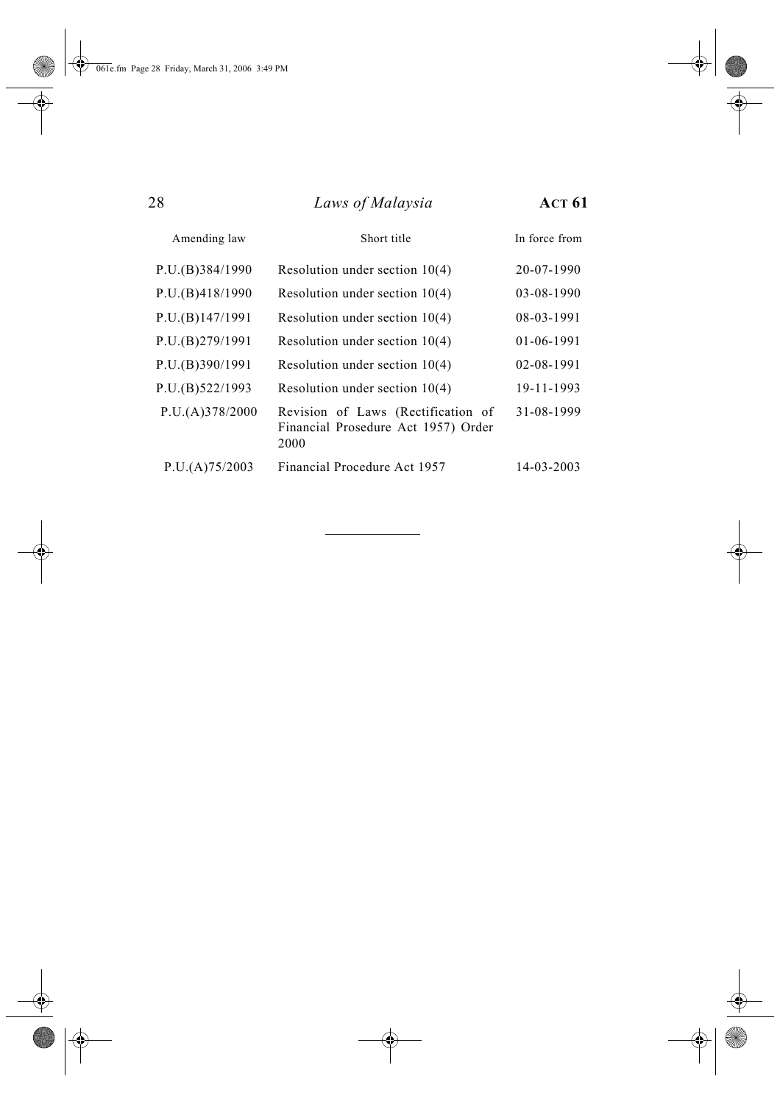$\overline{\bigoplus}$ 

| 28              | Laws of Malaysia                                                                  | <b>ACT 61</b> |  |
|-----------------|-----------------------------------------------------------------------------------|---------------|--|
| Amending law    | Short title                                                                       | In force from |  |
| P.U.(B)384/1990 | Resolution under section $10(4)$                                                  | 20-07-1990    |  |
| P.U.(B)418/1990 | Resolution under section $10(4)$                                                  | 03-08-1990    |  |
| P.U.(B)147/1991 | Resolution under section $10(4)$                                                  | 08-03-1991    |  |
| P.U.(B)279/1991 | Resolution under section $10(4)$                                                  | $01-06-1991$  |  |
| P.U.(B)390/1991 | Resolution under section $10(4)$                                                  | 02-08-1991    |  |
| P.U.(B)522/1993 | Resolution under section $10(4)$                                                  | 19-11-1993    |  |
| P.U.(A)378/2000 | Revision of Laws (Rectification of<br>Financial Prosedure Act 1957) Order<br>2000 | 31-08-1999    |  |
| P.U.(A)75/2003  | Financial Procedure Act 1957                                                      | 14-03-2003    |  |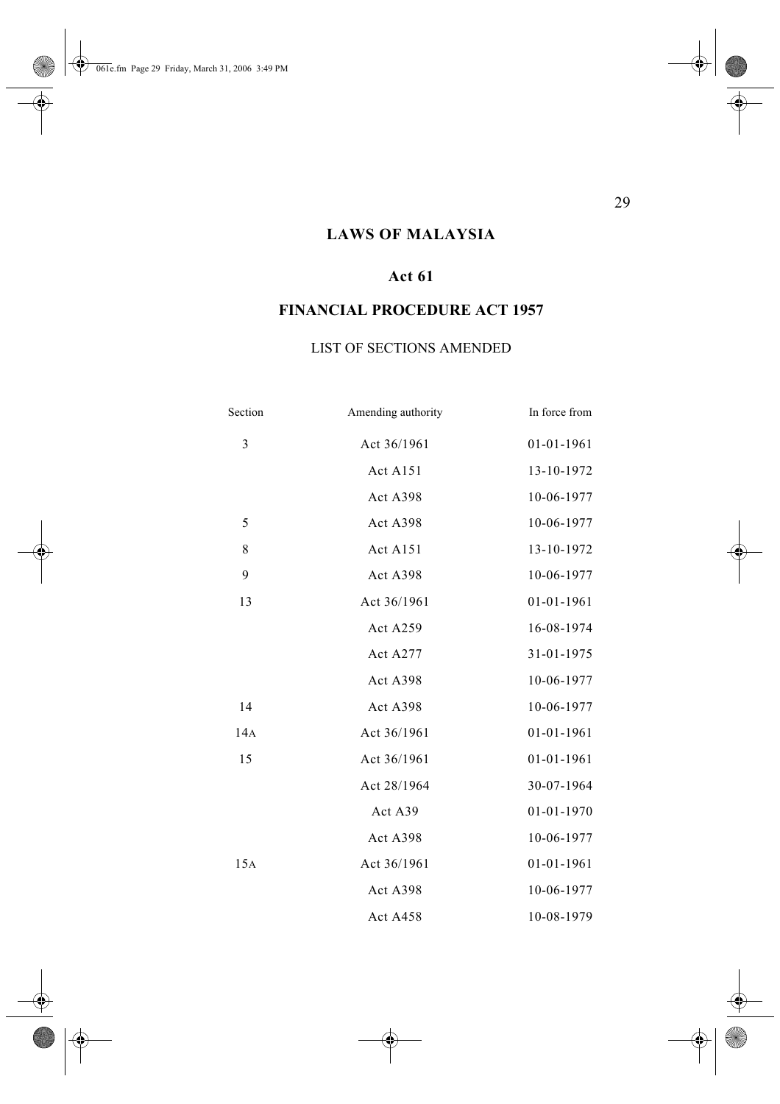$\Rightarrow$ 

# **LAWS OF MALAYSIA**

# **Act 61**

# **FINANCIAL PROCEDURE ACT 1957**

### LIST OF SECTIONS AMENDED

| Section | Amending authority   | In force from    |
|---------|----------------------|------------------|
| 3       | Act 36/1961          | $01 - 01 - 1961$ |
|         | Act A151             | 13-10-1972       |
|         | Act A398             | 10-06-1977       |
| 5       | Act A398             | 10-06-1977       |
| 8       | Act A <sub>151</sub> | 13-10-1972       |
| 9       | Act A398             | 10-06-1977       |
| 13      | Act 36/1961          | $01 - 01 - 1961$ |
|         | Act A259             | 16-08-1974       |
|         | Act A277             | 31-01-1975       |
|         | Act A398             | 10-06-1977       |
| 14      | Act A398             | 10-06-1977       |
| 14A     | Act 36/1961          | $01 - 01 - 1961$ |
| 15      | Act 36/1961          | $01 - 01 - 1961$ |
|         | Act 28/1964          | 30-07-1964       |
|         | Act A39              | $01 - 01 - 1970$ |
|         | Act A398             | 10-06-1977       |
| 15A     | Act 36/1961          | $01 - 01 - 1961$ |
|         | Act A398             | 10-06-1977       |
|         | Act A458             | 10-08-1979       |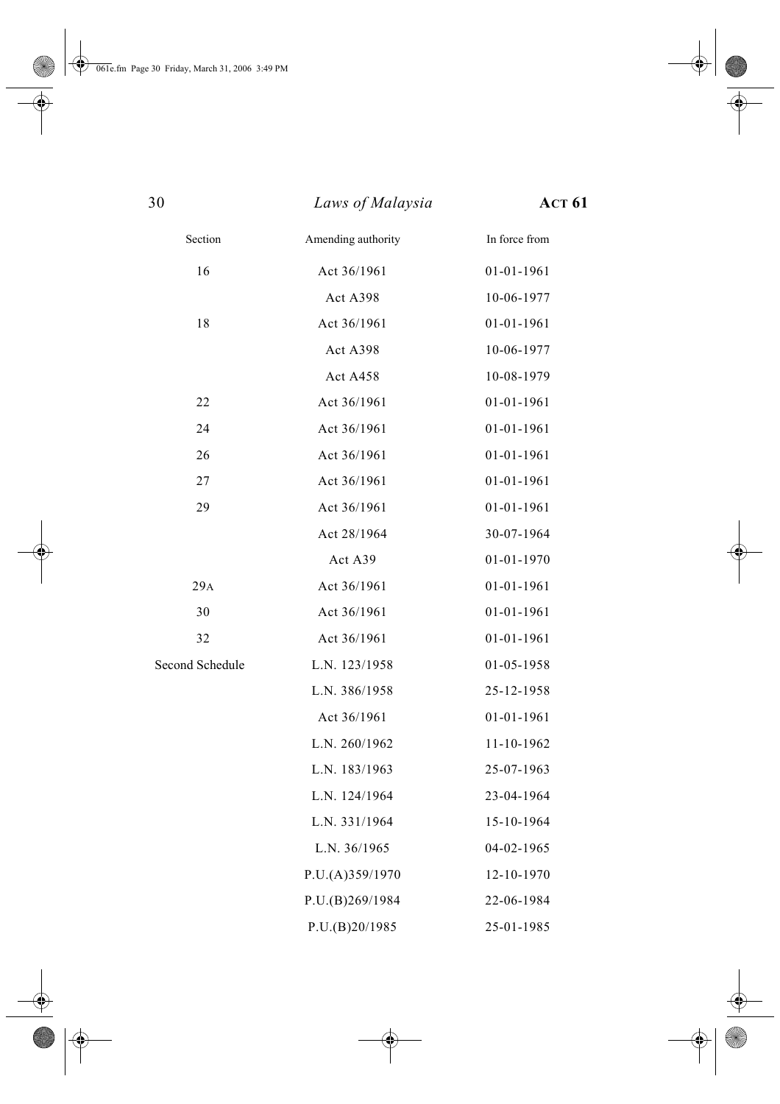| 30              | Laws of Malaysia   | <b>ACT 61</b>    |
|-----------------|--------------------|------------------|
| Section         | Amending authority | In force from    |
| 16              | Act 36/1961        | $01 - 01 - 1961$ |
|                 | Act A398           | 10-06-1977       |
| 18              | Act 36/1961        | $01 - 01 - 1961$ |
|                 | Act A398           | 10-06-1977       |
|                 | Act A458           | 10-08-1979       |
| 22              | Act 36/1961        | 01-01-1961       |
| 24              | Act 36/1961        | $01 - 01 - 1961$ |
| 26              | Act 36/1961        | $01 - 01 - 1961$ |
| 27              | Act 36/1961        | 01-01-1961       |
| 29              | Act 36/1961        | $01 - 01 - 1961$ |
|                 | Act 28/1964        | 30-07-1964       |
|                 | Act A39            | 01-01-1970       |
| 29A             | Act 36/1961        | $01 - 01 - 1961$ |
| 30              | Act 36/1961        | 01-01-1961       |
| 32              | Act 36/1961        | 01-01-1961       |
| Second Schedule | L.N. 123/1958      | 01-05-1958       |
|                 | L.N. 386/1958      | 25-12-1958       |
|                 | Act 36/1961        | 01-01-1961       |
|                 | L.N. 260/1962      | 11-10-1962       |
|                 | L.N. 183/1963      | 25-07-1963       |
|                 | L.N. 124/1964      | 23-04-1964       |
|                 | L.N. 331/1964      | 15-10-1964       |
|                 | L.N. 36/1965       | 04-02-1965       |
|                 | P.U.(A)359/1970    | 12-10-1970       |
|                 | P.U.(B)269/1984    | 22-06-1984       |
|                 | P.U.(B)20/1985     | 25-01-1985       |